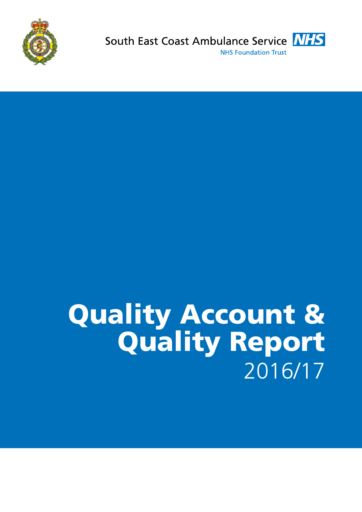

**NHS Foundation Trust** 

# Quality Account & Quality Report 2016/17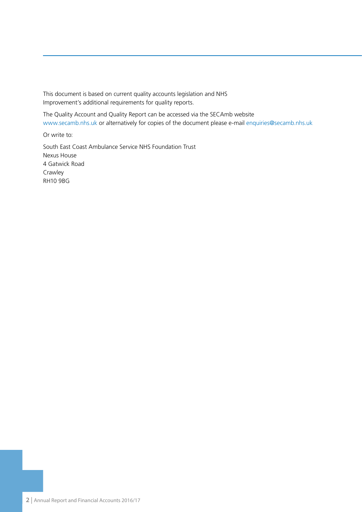This document is based on current quality accounts legislation and NHS Improvement's additional requirements for quality reports.

The Quality Account and Quality Report can be accessed via the SECAmb website www.secamb.nhs.uk or alternatively for copies of the document please e-mail enquiries@secamb.nhs.uk

Or write to:

South East Coast Ambulance Service NHS Foundation Trust Nexus House 4 Gatwick Road Crawley RH10 9BG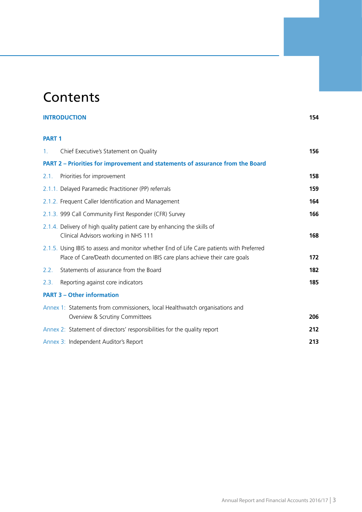# **Contents**

# **INTRODUCTION 154**

**PART 1**

| 1 <sub>1</sub> | Chief Executive's Statement on Quality                                                                                                                                 | 156 |
|----------------|------------------------------------------------------------------------------------------------------------------------------------------------------------------------|-----|
|                | PART 2 - Priorities for improvement and statements of assurance from the Board                                                                                         |     |
| 2.1.           | Priorities for improvement                                                                                                                                             | 158 |
|                | 2.1.1. Delayed Paramedic Practitioner (PP) referrals                                                                                                                   | 159 |
|                | 2.1.2. Frequent Caller Identification and Management                                                                                                                   | 164 |
|                | 2.1.3. 999 Call Community First Responder (CFR) Survey                                                                                                                 | 166 |
|                | 2.1.4. Delivery of high quality patient care by enhancing the skills of<br>Clinical Advisors working in NHS 111                                                        | 168 |
|                | 2.1.5. Using IBIS to assess and monitor whether End of Life Care patients with Preferred<br>Place of Care/Death documented on IBIS care plans achieve their care goals | 172 |
| 2.2.           | Statements of assurance from the Board                                                                                                                                 | 182 |
| 2.3.           | Reporting against core indicators                                                                                                                                      | 185 |
|                | <b>PART 3 - Other information</b>                                                                                                                                      |     |
|                | Annex 1: Statements from commissioners, local Healthwatch organisations and<br>Overview & Scrutiny Committees                                                          | 206 |
|                | Annex 2: Statement of directors' responsibilities for the quality report                                                                                               | 212 |
|                | Annex 3: Independent Auditor's Report                                                                                                                                  | 213 |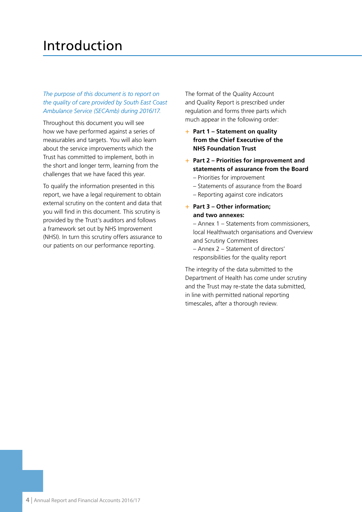# Introduction

### *The purpose of this document is to report on the quality of care provided by South East Coast Ambulance Service (SECAmb) during 2016/17.*

Throughout this document you will see how we have performed against a series of measurables and targets. You will also learn about the service improvements which the Trust has committed to implement, both in the short and longer term, learning from the challenges that we have faced this year.

To qualify the information presented in this report, we have a legal requirement to obtain external scrutiny on the content and data that you will find in this document. This scrutiny is provided by the Trust's auditors and follows a framework set out by NHS Improvement (NHSI). In turn this scrutiny offers assurance to our patients on our performance reporting.

The format of the Quality Account and Quality Report is prescribed under regulation and forms three parts which much appear in the following order:

- + **Part 1 Statement on quality from the Chief Executive of the NHS Foundation Trust**
- + **Part 2 Priorities for improvement and statements of assurance from the Board** – Priorities for improvement
	- Statements of assurance from the Board
	- Reporting against core indicators
- + **Part 3 Other information; and two annexes:**
	- Annex 1 Statements from commissioners, local Healthwatch organisations and Overview and Scrutiny Committees
	- Annex 2 Statement of directors' responsibilities for the quality report

The integrity of the data submitted to the Department of Health has come under scrutiny and the Trust may re-state the data submitted, in line with permitted national reporting timescales, after a thorough review.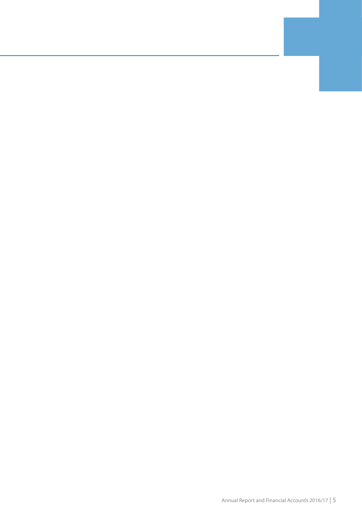Annual Report and Financial Accounts 2016/17 | 5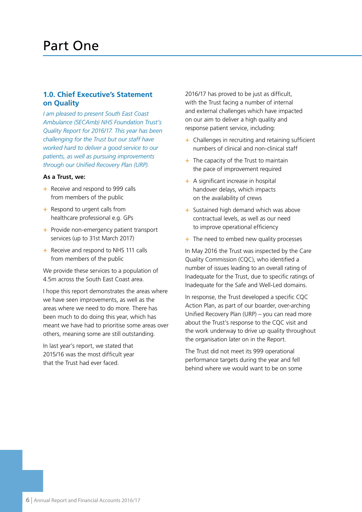# Part One

# **1.0. Chief Executive's Statement on Quality**

*I am pleased to present South East Coast Ambulance (SECAmb) NHS Foundation Trust's Quality Report for 2016/17. This year has been challenging for the Trust but our staff have worked hard to deliver a good service to our patients, as well as pursuing improvements through our Unified Recovery Plan (URP).*

#### **As a Trust, we:**

- + Receive and respond to 999 calls from members of the public
- + Respond to urgent calls from healthcare professional e.g. GPs
- + Provide non-emergency patient transport services (up to 31st March 2017)
- + Receive and respond to NHS 111 calls from members of the public

We provide these services to a population of 4.5m across the South East Coast area.

I hope this report demonstrates the areas where we have seen improvements, as well as the areas where we need to do more. There has been much to do doing this year, which has meant we have had to prioritise some areas over others, meaning some are still outstanding.

In last year's report, we stated that 2015/16 was the most difficult year that the Trust had ever faced.

2016/17 has proved to be just as difficult, with the Trust facing a number of internal and external challenges which have impacted on our aim to deliver a high quality and response patient service, including:

- $+$  Challenges in recruiting and retaining sufficient numbers of clinical and non-clinical staff
- $+$  The capacity of the Trust to maintain the pace of improvement required
- $+$  A significant increase in hospital handover delays, which impacts on the availability of crews
- + Sustained high demand which was above contractual levels, as well as our need to improve operational efficiency
- $+$  The need to embed new quality processes

In May 2016 the Trust was inspected by the Care Quality Commission (CQC), who identified a number of issues leading to an overall rating of Inadequate for the Trust, due to specific ratings of Inadequate for the Safe and Well-Led domains.

In response, the Trust developed a specific CQC Action Plan, as part of our boarder, over-arching Unified Recovery Plan (URP) – you can read more about the Trust's response to the CQC visit and the work underway to drive up quality throughout the organisation later on in the Report.

The Trust did not meet its 999 operational performance targets during the year and fell behind where we would want to be on some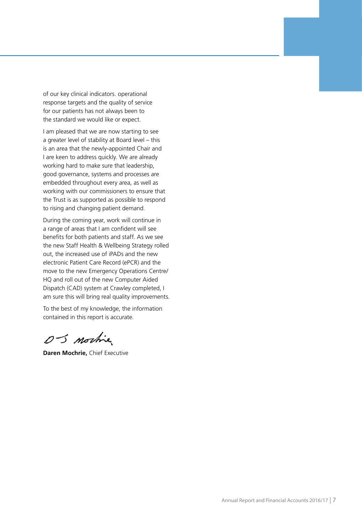of our key clinical indicators. operational response targets and the quality of service for our patients has not always been to the standard we would like or expect.

I am pleased that we are now starting to see a greater level of stability at Board level – this is an area that the newly-appointed Chair and I are keen to address quickly. We are already working hard to make sure that leadership, good governance, systems and processes are embedded throughout every area, as well as working with our commissioners to ensure that the Trust is as supported as possible to respond to rising and changing patient demand.

During the coming year, work will continue in a range of areas that I am confident will see benefits for both patients and staff. As we see the new Staff Health & Wellbeing Strategy rolled out, the increased use of iPADs and the new electronic Patient Care Record (ePCR) and the move to the new Emergency Operations Centre/ HQ and roll out of the new Computer Aided Dispatch (CAD) system at Crawley completed, I am sure this will bring real quality improvements.

To the best of my knowledge, the information contained in this report is accurate.

05 mortie

**Daren Mochrie,** Chief Executive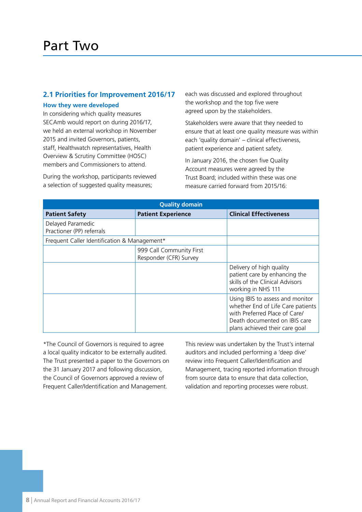# **2.1 Priorities for Improvement 2016/17**

### **How they were developed**

In considering which quality measures SECAmb would report on during 2016/17, we held an external workshop in November 2015 and invited Governors, patients, staff, Healthwatch representatives, Health Overview & Scrutiny Committee (HOSC) members and Commissioners to attend.

During the workshop, participants reviewed a selection of suggested quality measures;

each was discussed and explored throughout the workshop and the top five were agreed upon by the stakeholders.

Stakeholders were aware that they needed to ensure that at least one quality measure was within each 'quality domain' – clinical effectiveness, patient experience and patient safety.

In January 2016, the chosen five Quality Account measures were agreed by the Trust Board; included within these was one measure carried forward from 2015/16:

| <b>Quality domain</b>                          |                                                    |                                                                                                                                                                           |  |  |  |
|------------------------------------------------|----------------------------------------------------|---------------------------------------------------------------------------------------------------------------------------------------------------------------------------|--|--|--|
| <b>Patient Safety</b>                          | <b>Patient Experience</b>                          | <b>Clinical Effectiveness</b>                                                                                                                                             |  |  |  |
| Delayed Paramedic<br>Practioner (PP) referrals |                                                    |                                                                                                                                                                           |  |  |  |
| Frequent Caller Identification & Management*   |                                                    |                                                                                                                                                                           |  |  |  |
|                                                | 999 Call Community First<br>Responder (CFR) Survey |                                                                                                                                                                           |  |  |  |
|                                                |                                                    | Delivery of high quality<br>patient care by enhancing the<br>skills of the Clinical Advisors<br>working in NHS 111                                                        |  |  |  |
|                                                |                                                    | Using IBIS to assess and monitor<br>whether End of Life Care patients<br>with Preferred Place of Care/<br>Death documented on IBIS care<br>plans achieved their care goal |  |  |  |

\*The Council of Governors is required to agree a local quality indicator to be externally audited. The Trust presented a paper to the Governors on the 31 January 2017 and following discussion, the Council of Governors approved a review of Frequent Caller/Identification and Management.

This review was undertaken by the Trust's internal auditors and included performing a 'deep dive' review into Frequent Caller/Identification and Management, tracing reported information through from source data to ensure that data collection, validation and reporting processes were robust.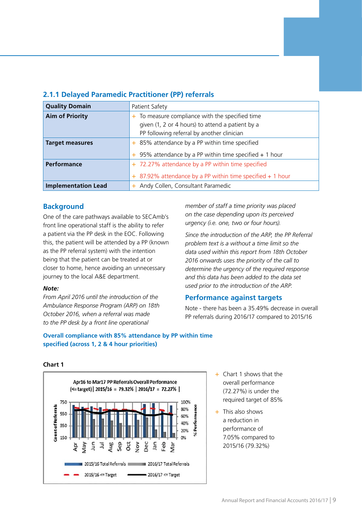| <b>Quality Domain</b>                                                                                                                                                         | Patient Safety                                                                                                  |
|-------------------------------------------------------------------------------------------------------------------------------------------------------------------------------|-----------------------------------------------------------------------------------------------------------------|
| <b>Aim of Priority</b><br>$+$ To measure compliance with the specified time<br>given (1, 2 or 4 hours) to attend a patient by a<br>PP following referral by another clinician |                                                                                                                 |
| <b>Target measures</b>                                                                                                                                                        | $+$ 85% attendance by a PP within time specified<br>$+$ 95% attendance by a PP within time specified $+$ 1 hour |
| <b>Performance</b>                                                                                                                                                            | + 72.27% attendance by a PP within time specified<br>+ 87.92% attendance by a PP within time specified + 1 hour |
| <b>Implementation Lead</b>                                                                                                                                                    | + Andy Collen, Consultant Paramedic                                                                             |

# **2.1.1 Delayed Paramedic Practitioner (PP) referrals**

### **Background**

One of the care pathways available to SECAmb's front line operational staff is the ability to refer a patient via the PP desk in the EOC. Following this, the patient will be attended by a PP (known as the PP referral system) with the intention being that the patient can be treated at or closer to home, hence avoiding an unnecessary journey to the local A&E department.

#### *Note:*

*From April 2016 until the introduction of the Ambulance Response Program (ARP) on 18th October 2016, when a referral was made to the PP desk by a front line operational* 

*member of staff a time priority was placed on the case depending upon its perceived urgency (i.e. one, two or four hours).*

*Since the introduction of the ARP, the PP Referral problem text is a without a time limit so the data used within this report from 18th October 2016 onwards uses the priority of the call to determine the urgency of the required response and this data has been added to the data set used prior to the introduction of the ARP.*

### **Performance against targets**

Note - there has been a 35.49% decrease in overall PP referrals during 2016/17 compared to 2015/16

### **Overall compliance with 85% attendance by PP within time specified (across 1, 2 & 4 hour priorities)**



- $+$  Chart 1 shows that the overall performance (72.27%) is under the required target of 85%
- $+$  This also shows a reduction in performance of 7.05% compared to 2015/16 (79.32%)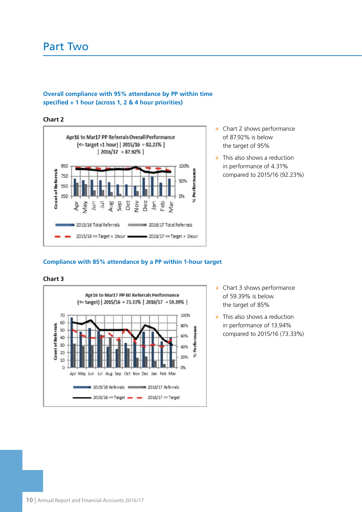# Part Two

### **Overall compliance with 95% attendance by PP within time specified + 1 hour (across 1, 2 & 4 hour priorities)**





- + Chart 2 shows performance of 87.92% is below the target of 95%
- $+$  This also shows a reduction in performance of 4.31% compared to 2015/16 (92.23%)

### **Compliance with 85% attendance by a PP within 1-hour target**

**Chart 3**



- + Chart 3 shows performance of 59.39% is below the target of 85%
- $+$  This also shows a reduction in performance of 13.94% compared to 2015/16 (73.33%)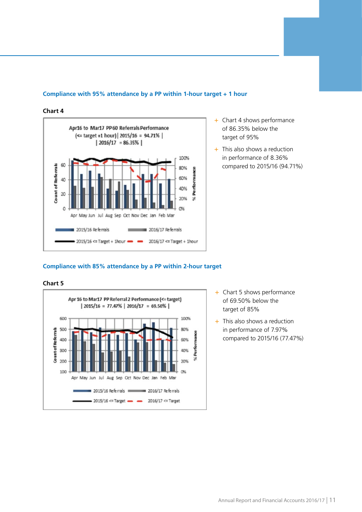

### **Compliance with 95% attendance by a PP within 1-hour target + 1 hour**

**Chart 4**

- + Chart 4 shows performance of 86.35% below the target of 95%
- $+$  This also shows a reduction in performance of 8.36% compared to 2015/16 (94.71%)

### **Compliance with 85% attendance by a PP within 2-hour target**

**Chart 5**



- + Chart 5 shows performance of 69.50% below the target of 85%
- $+$  This also shows a reduction in performance of 7.97% compared to 2015/16 (77.47%)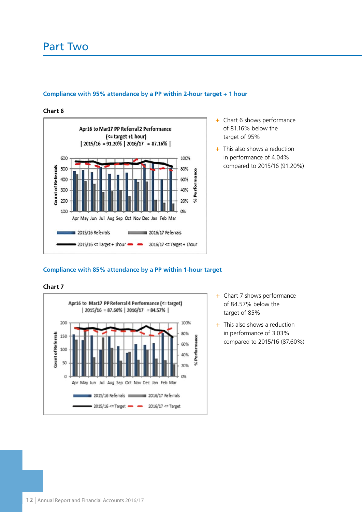

#### **Compliance with 95% attendance by a PP within 2-hour target + 1 hour**

+ Chart 6 shows performance of 81.16% below the target of 95%

 $+$  This also shows a reduction in performance of 4.04% compared to 2015/16 (91.20%)

### **Compliance with 85% attendance by a PP within 1-hour target**

**Chart 7**



- + Chart 7 shows performance of 84.57% below the target of 85%
- $+$  This also shows a reduction in performance of 3.03% compared to 2015/16 (87.60%)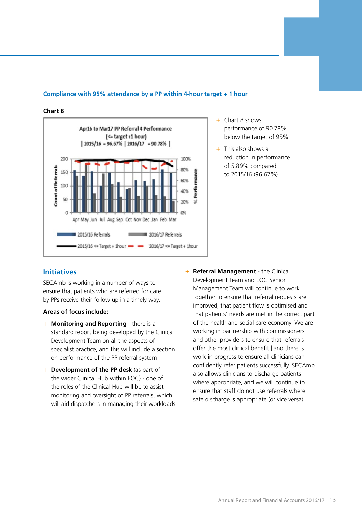

### **Compliance with 95% attendance by a PP within 4-hour target + 1 hour**

+ Chart 8 shows performance of 90.78% below the target of 95%

+ This also shows a reduction in performance of 5.89% compared to 2015/16 (96.67%)

# **Initiatives**

SECAmb is working in a number of ways to ensure that patients who are referred for care by PPs receive their follow up in a timely way.

### **Areas of focus include:**

- + **Monitoring and Reporting** there is a standard report being developed by the Clinical Development Team on all the aspects of specialist practice, and this will include a section on performance of the PP referral system
- + **Development of the PP desk** (as part of the wider Clinical Hub within EOC) - one of the roles of the Clinical Hub will be to assist monitoring and oversight of PP referrals, which will aid dispatchers in managing their workloads
- + **Referral Management** the Clinical Development Team and EOC Senior Management Team will continue to work together to ensure that referral requests are improved, that patient flow is optimised and that patients' needs are met in the correct part of the health and social care economy. We are working in partnership with commissioners and other providers to ensure that referrals offer the most clinical benefit ['and there is work in progress to ensure all clinicians can confidently refer patients successfully. SECAmb also allows clinicians to discharge patients where appropriate, and we will continue to ensure that staff do not use referrals where safe discharge is appropriate (or vice versa).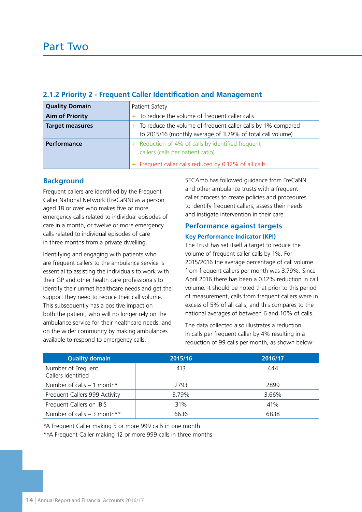| <b>Quality Domain</b>  | Patient Safety                                                                                                                                  |  |  |
|------------------------|-------------------------------------------------------------------------------------------------------------------------------------------------|--|--|
| <b>Aim of Priority</b> | $+$ To reduce the volume of frequent caller calls                                                                                               |  |  |
| <b>Target measures</b> | $+$ To reduce the volume of frequent caller calls by 1% compared<br>to 2015/16 (monthly average of 3.79% of total call volume)                  |  |  |
| Performance            | + Reduction of 4% of calls by identified frequent<br>callers (calls per patient ratio)<br>+ Frequent caller calls reduced by 0.12% of all calls |  |  |

### **2.1.2 Priority 2 - Frequent Caller Identification and Management**

# **Background**

Frequent callers are identified by the Frequent Caller National Network (FreCaNN) as a person aged 18 or over who makes five or more emergency calls related to individual episodes of care in a month, or twelve or more emergency calls related to individual episodes of care in three months from a private dwelling.

Identifying and engaging with patients who are frequent callers to the ambulance service is essential to assisting the individuals to work with their GP and other health care professionals to identify their unmet healthcare needs and get the support they need to reduce their call volume. This subsequently has a positive impact on both the patient, who will no longer rely on the ambulance service for their healthcare needs, and on the wider community by making ambulances available to respond to emergency calls.

SECAmb has followed guidance from FreCaNN and other ambulance trusts with a frequent caller process to create policies and procedures to identify frequent callers, assess their needs and instigate intervention in their care.

# **Performance against targets Key Performance Indicator (KPI)**

The Trust has set itself a target to reduce the volume of frequent caller calls by 1%. For 2015/2016 the average percentage of call volume from frequent callers per month was 3.79%. Since April 2016 there has been a 0.12% reduction in call volume. It should be noted that prior to this period of measurement, calls from frequent callers were in excess of 5% of all calls, and this compares to the national averages of between 6 and 10% of calls.

The data collected also illustrates a reduction in calls per frequent caller by 4% resulting in a reduction of 99 calls per month, as shown below:

| <b>Quality domain</b>                    | 2015/16 | 2016/17 |
|------------------------------------------|---------|---------|
| Number of Frequent<br>Callers Identified | 413     | 444     |
| Number of calls $-1$ month*              | 2793    | 2899    |
| Frequent Callers 999 Activity            | 3.79%   | 3.66%   |
| Frequent Callers on IBIS                 | 31%     | 41%     |
| Number of calls $-$ 3 month**            | 6636    | 6838    |

\*A Frequent Caller making 5 or more 999 calls in one month

\*\*A Frequent Caller making 12 or more 999 calls in three months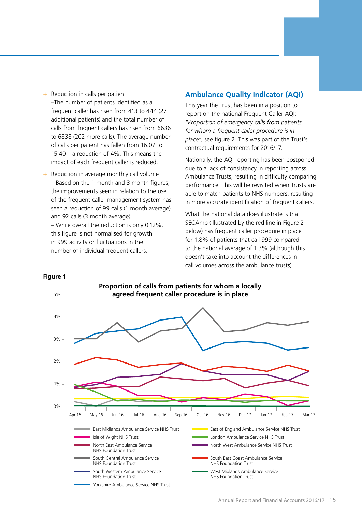- $+$  Reduction in calls per patient –The number of patients identified as a frequent caller has risen from 413 to 444 (27 additional patients) and the total number of calls from frequent callers has risen from 6636 to 6838 (202 more calls). The average number of calls per patient has fallen from 16.07 to 15.40 – a reduction of 4%. This means the impact of each frequent caller is reduced.
- + Reduction in average monthly call volume – Based on the 1 month and 3 month figures, the improvements seen in relation to the use of the frequent caller management system has seen a reduction of 99 calls (1 month average) and 92 calls (3 month average).

– While overall the reduction is only 0.12%, this figure is not normalised for growth in 999 activity or fluctuations in the number of individual frequent callers.

### **Ambulance Quality Indicator (AQI)**

This year the Trust has been in a position to report on the national Frequent Caller AQI: *"Proportion of emergency calls from patients for whom a frequent caller procedure is in place"*, see figure 2. This was part of the Trust's contractual requirements for 2016/17.

Nationally, the AQI reporting has been postponed due to a lack of consistency in reporting across Ambulance Trusts, resulting in difficulty comparing performance. This will be revisited when Trusts are able to match patients to NHS numbers, resulting in more accurate identification of frequent callers.

What the national data does illustrate is that SECAmb (illustrated by the red line in Figure 2 below) has frequent caller procedure in place for 1.8% of patients that call 999 compared to the national average of 1.3% (although this doesn't take into account the differences in call volumes across the ambulance trusts).



### **Figure 1**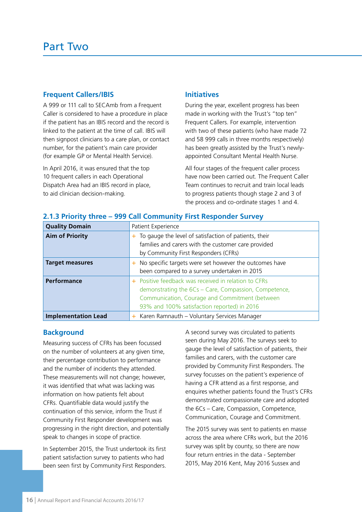### **Frequent Callers/IBIS**

A 999 or 111 call to SECAmb from a Frequent Caller is considered to have a procedure in place if the patient has an IBIS record and the record is linked to the patient at the time of call. IBIS will then signpost clinicians to a care plan, or contact number, for the patient's main care provider (for example GP or Mental Health Service).

In April 2016, it was ensured that the top 10 frequent callers in each Operational Dispatch Area had an IBIS record in place, to aid clinician decision-making.

# **Initiatives**

During the year, excellent progress has been made in working with the Trust's "top ten" Frequent Callers. For example, intervention with two of these patients (who have made 72 and 58 999 calls in three months respectively) has been greatly assisted by the Trust's newlyappointed Consultant Mental Health Nurse.

All four stages of the frequent caller process have now been carried out. The Frequent Caller Team continues to recruit and train local leads to progress patients though stage 2 and 3 of the process and co-ordinate stages 1 and 4.

| <b>Quality Domain</b>      | Patient Experience                                                                                                                                                                                             |  |  |
|----------------------------|----------------------------------------------------------------------------------------------------------------------------------------------------------------------------------------------------------------|--|--|
| <b>Aim of Priority</b>     | $+$ To gauge the level of satisfaction of patients, their<br>families and carers with the customer care provided<br>by Community First Responders (CFRs)                                                       |  |  |
| <b>Target measures</b>     | $+$ No specific targets were set however the outcomes have<br>been compared to a survey undertaken in 2015                                                                                                     |  |  |
| Performance                | + Positive feedback was received in relation to CFRs<br>demonstrating the 6Cs - Care, Compassion, Competence,<br>Communication, Courage and Commitment (between<br>93% and 100% satisfaction reported) in 2016 |  |  |
| <b>Implementation Lead</b> | $+$ Karen Ramnauth – Voluntary Services Manager                                                                                                                                                                |  |  |

### **2.1.3 Priority three – 999 Call Community First Responder Survey**

### **Background**

Measuring success of CFRs has been focussed on the number of volunteers at any given time, their percentage contribution to performance and the number of incidents they attended. These measurements will not change; however, it was identified that what was lacking was information on how patients felt about CFRs. Quantifiable data would justify the continuation of this service, inform the Trust if Community First Responder development was progressing in the right direction, and potentially speak to changes in scope of practice.

In September 2015, the Trust undertook its first patient satisfaction survey to patients who had been seen first by Community First Responders.

A second survey was circulated to patients seen during May 2016. The surveys seek to gauge the level of satisfaction of patients, their families and carers, with the customer care provided by Community First Responders. The survey focusses on the patient's experience of having a CFR attend as a first response, and enquires whether patients found the Trust's CFRs demonstrated compassionate care and adopted the 6Cs – Care, Compassion, Competence, Communication, Courage and Commitment.

The 2015 survey was sent to patients en masse across the area where CFRs work, but the 2016 survey was split by county, so there are now four return entries in the data - September 2015, May 2016 Kent, May 2016 Sussex and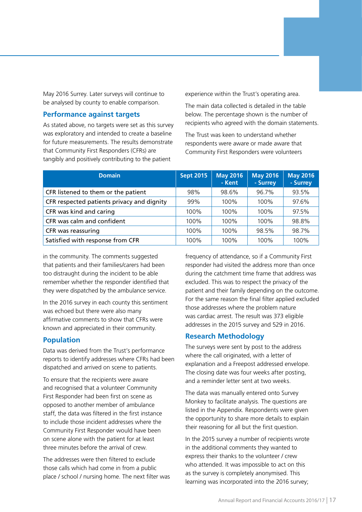May 2016 Surrey. Later surveys will continue to be analysed by county to enable comparison.

### **Performance against targets**

As stated above, no targets were set as this survey was exploratory and intended to create a baseline for future measurements. The results demonstrate that Community First Responders (CFRs) are tangibly and positively contributing to the patient

experience within the Trust's operating area.

The main data collected is detailed in the table below. The percentage shown is the number of recipients who agreed with the domain statements.

The Trust was keen to understand whether respondents were aware or made aware that Community First Responders were volunteers

| <b>Domain</b>                              | <b>Sept 2015</b> | <b>May 2016</b><br>- Kent | <b>May 2016</b><br>- Surrey | <b>May 2016</b><br>- Surrey |
|--------------------------------------------|------------------|---------------------------|-----------------------------|-----------------------------|
| CFR listened to them or the patient        | 98%              | 98.6%                     | 96.7%                       | 93.5%                       |
| CFR respected patients privacy and dignity | 99%              | 100%                      | 100%                        | 97.6%                       |
| CFR was kind and caring                    | 100%             | 100%                      | 100%                        | 97.5%                       |
| CFR was calm and confident                 | 100%             | 100%                      | 100%                        | 98.8%                       |
| CFR was reassuring                         | 100%             | 100%                      | 98.5%                       | 98.7%                       |
| Satisfied with response from CFR           | 100%             | 100%                      | 100%                        | 100%                        |

in the community. The comments suggested that patients and their families/carers had been too distraught during the incident to be able remember whether the responder identified that they were dispatched by the ambulance service.

In the 2016 survey in each county this sentiment was echoed but there were also many affirmative comments to show that CFRs were known and appreciated in their community.

### **Population**

Data was derived from the Trust's performance reports to identify addresses where CFRs had been dispatched and arrived on scene to patients.

To ensure that the recipients were aware and recognised that a volunteer Community First Responder had been first on scene as opposed to another member of ambulance staff, the data was filtered in the first instance to include those incident addresses where the Community First Responder would have been on scene alone with the patient for at least three minutes before the arrival of crew.

The addresses were then filtered to exclude those calls which had come in from a public place / school / nursing home. The next filter was

frequency of attendance, so if a Community First responder had visited the address more than once during the catchment time frame that address was excluded. This was to respect the privacy of the patient and their family depending on the outcome. For the same reason the final filter applied excluded those addresses where the problem nature was cardiac arrest. The result was 373 eligible addresses in the 2015 survey and 529 in 2016.

# **Research Methodology**

The surveys were sent by post to the address where the call originated, with a letter of explanation and a Freepost addressed envelope. The closing date was four weeks after posting, and a reminder letter sent at two weeks.

The data was manually entered onto Survey Monkey to facilitate analysis. The questions are listed in the Appendix. Respondents were given the opportunity to share more details to explain their reasoning for all but the first question.

In the 2015 survey a number of recipients wrote in the additional comments they wanted to express their thanks to the volunteer / crew who attended. It was impossible to act on this as the survey is completely anonymised. This learning was incorporated into the 2016 survey;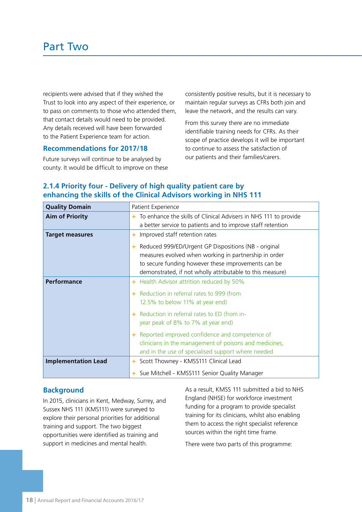recipients were advised that if they wished the Trust to look into any aspect of their experience, or to pass on comments to those who attended them, that contact details would need to be provided. Any details received will have been forwarded to the Patient Experience team for action.

# **Recommendations for 2017/18**

Future surveys will continue to be analysed by county. It would be difficult to improve on these consistently positive results, but it is necessary to maintain regular surveys as CFRs both join and leave the network, and the results can vary.

From this survey there are no immediate identifiable training needs for CFRs. As their scope of practice develops it will be important to continue to assess the satisfaction of our patients and their families/carers.

| <b>Quality Domain</b>      | Patient Experience                                                                                                                                                                                                                                                           |  |  |  |  |
|----------------------------|------------------------------------------------------------------------------------------------------------------------------------------------------------------------------------------------------------------------------------------------------------------------------|--|--|--|--|
| <b>Aim of Priority</b>     | $+$ To enhance the skills of Clinical Advisers in NHS 111 to provide<br>a better service to patients and to improve staff retention                                                                                                                                          |  |  |  |  |
| <b>Target measures</b>     | Improved staff retention rates<br>$+$<br>+ Reduced 999/ED/Urgent GP Dispositions (NB - original<br>measures evolved when working in partnership in order<br>to secure funding however these improvements can be<br>demonstrated, if not wholly attributable to this measure) |  |  |  |  |
| <b>Performance</b>         | + Health Advisor attrition reduced by 50%<br>+ Reduction in referral rates to 999 (from<br>12.5% to below 11% at year end)                                                                                                                                                   |  |  |  |  |
|                            | + Reduction in referral rates to ED (from in-<br>year peak of 8% to 7% at year end)                                                                                                                                                                                          |  |  |  |  |
|                            | + Reported improved confidence and competence of<br>clinicians in the management of poisons and medicines,<br>and in the use of specialised support where needed                                                                                                             |  |  |  |  |
| <b>Implementation Lead</b> | + Scott Thowney - KMSS111 Clinical Lead<br>+ Sue Mitchell - KMSS111 Senior Quality Manager                                                                                                                                                                                   |  |  |  |  |

# **2.1.4 Priority four - Delivery of high quality patient care by enhancing the skills of the Clinical Advisors working in NHS 111**

# **Background**

In 2015, clinicians in Kent, Medway, Surrey, and Sussex NHS 111 (KMS111) were surveyed to explore their personal priorities for additional training and support. The two biggest opportunities were identified as training and support in medicines and mental health.

As a result, KMSS 111 submitted a bid to NHS England (NHSE) for workforce investment funding for a program to provide specialist training for its clinicians, whilst also enabling them to access the right specialist reference sources within the right time frame.

There were two parts of this programme: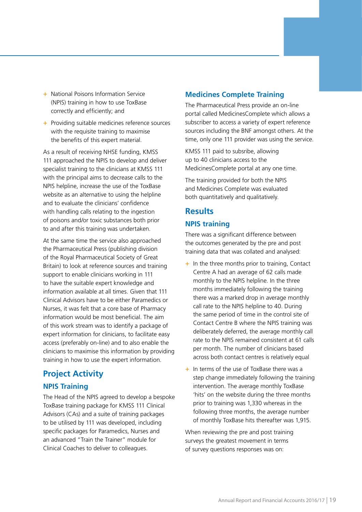- + National Poisons Information Service (NPIS) training in how to use ToxBase correctly and efficiently; and
- + Providing suitable medicines reference sources with the requisite training to maximise the benefits of this expert material.

As a result of receiving NHSE funding, KMSS 111 approached the NPIS to develop and deliver specialist training to the clinicians at KMSS 111 with the principal aims to decrease calls to the NPIS helpline, increase the use of the ToxBase website as an alternative to using the helpline and to evaluate the clinicians' confidence with handling calls relating to the ingestion of poisons and/or toxic substances both prior to and after this training was undertaken.

At the same time the service also approached the Pharmaceutical Press (publishing division of the Royal Pharmaceutical Society of Great Britain) to look at reference sources and training support to enable clinicians working in 111 to have the suitable expert knowledge and information available at all times. Given that 111 Clinical Advisors have to be either Paramedics or Nurses, it was felt that a core base of Pharmacy information would be most beneficial. The aim of this work stream was to identify a package of expert information for clinicians, to facilitate easy access (preferably on-line) and to also enable the clinicians to maximise this information by providing training in how to use the expert information.

# **Project Activity**

# **NPIS Training**

The Head of the NPIS agreed to develop a bespoke ToxBase training package for KMSS 111 Clinical Advisors (CAs) and a suite of training packages to be utilised by 111 was developed, including specific packages for Paramedics, Nurses and an advanced "Train the Trainer" module for Clinical Coaches to deliver to colleagues.

# **Medicines Complete Training**

The Pharmaceutical Press provide an on-line portal called MedicinesComplete which allows a subscriber to access a variety of expert reference sources including the BNF amongst others. At the time, only one 111 provider was using the service.

KMSS 111 paid to subsribe, allowing up to 40 clinicians access to the MedicinesComplete portal at any one time.

The training provided for both the NPIS and Medicines Complete was evaluated both quantitatively and qualitatively.

# **Results**

# **NPIS training**

There was a significant difference between the outcomes generated by the pre and post training data that was collated and analysed:

- $+$  In the three months prior to training, Contact Centre A had an average of 62 calls made monthly to the NPIS helpline. In the three months immediately following the training there was a marked drop in average monthly call rate to the NPIS helpline to 40. During the same period of time in the control site of Contact Centre B where the NPIS training was deliberately deferred, the average monthly call rate to the NPIS remained consistent at 61 calls per month. The number of clinicians based across both contact centres is relatively equal
- $+$  In terms of the use of ToxBase there was a step change immediately following the training intervention. The average monthly ToxBase 'hits' on the website during the three months prior to training was 1,330 whereas in the following three months, the average number of monthly ToxBase hits thereafter was 1,915.

When reviewing the pre and post training surveys the greatest movement in terms of survey questions responses was on: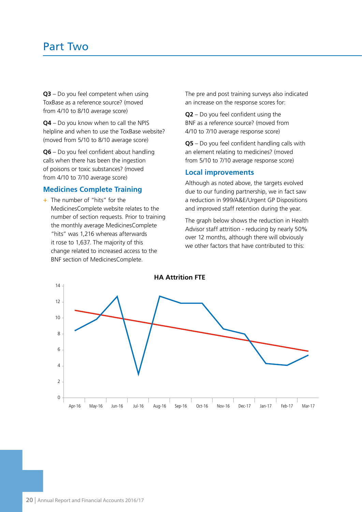# Part Two

**Q3** – Do you feel competent when using ToxBase as a reference source? (moved from 4/10 to 8/10 average score)

**Q4** – Do you know when to call the NPIS helpline and when to use the ToxBase website? (moved from 5/10 to 8/10 average score)

**Q6** – Do you feel confident about handling calls when there has been the ingestion of poisons or toxic substances? (moved from 4/10 to 7/10 average score)

### **Medicines Complete Training**

+ The number of "hits" for the MedicinesComplete website relates to the number of section requests. Prior to training the monthly average MedicinesComplete "hits" was 1,216 whereas afterwards it rose to 1,637. The majority of this change related to increased access to the BNF section of MedicinesComplete.

The pre and post training surveys also indicated an increase on the response scores for:

**Q2** – Do you feel confident using the BNF as a reference source? (moved from 4/10 to 7/10 average response score)

**Q5** – Do you feel confident handling calls with an element relating to medicines? (moved from 5/10 to 7/10 average response score)

### **Local improvements**

Although as noted above, the targets evolved due to our funding partnership, we in fact saw a reduction in 999/A&E/Urgent GP Dispositions and improved staff retention during the year.

The graph below shows the reduction in Health Advisor staff attrition - reducing by nearly 50% over 12 months, although there will obviously we other factors that have contributed to this:

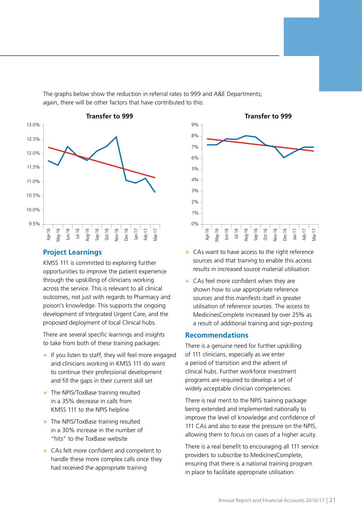

The graphs below show the reduction in referral rates to 999 and A&E Departments; again, there will be other factors that have contributed to this:

### **Project Learnings**

KMSS 111 is committed to exploring further opportunities to improve the patient experience through the upskilling of clinicians working across the service. This is relevant to all clinical outcomes, not just with regards to Pharmacy and poison's knowledge. This supports the ongoing development of Integrated Urgent Care, and the proposed deployment of local Clinical hubs.

There are several specific learnings and insights to take from both of these training packages:

- + If you listen to staff, they will feel more engaged and clinicians working in KMSS 111 do want to continue their professional development and fill the gaps in their current skill set
- $+$  The NPIS/ToxBase training resulted in a 35% decrease in calls from KMSS 111 to the NPIS helpline
- + The NPIS/ToxBase training resulted in a 30% increase in the number of "hits" to the ToxBase website
- + CAs felt more confident and competent to handle these more complex calls once they had received the appropriate training



- $+$  CAs want to have access to the right reference sources and that training to enable this access results in increased source material utilisation
- + CAs feel more confident when they are shown how to use appropriate reference sources and this manifests itself in greater utilisation of reference sources. The access to MedicinesComplete increased by over 25% as a result of additional training and sign-posting

### **Recommendations**

There is a genuine need for further upskilling of 111 clinicians, especially as we enter a period of transition and the advent of clinical hubs. Further workforce investment programs are required to develop a set of widely acceptable clinician competencies.

There is real merit to the NPIS training package being extended and implemented nationally to improve the level of knowledge and confidence of 111 CAs and also to ease the pressure on the NPIS, allowing them to focus on cases of a higher acuity.

There is a real benefit to encouraging all 111 service providers to subscribe to MedicinesComplete, ensuring that there is a national training program in place to facilitate appropriate utilisation.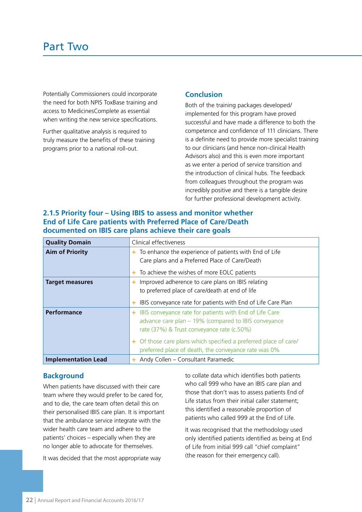Potentially Commissioners could incorporate the need for both NPIS ToxBase training and access to MedicinesComplete as essential when writing the new service specifications.

Further qualitative analysis is required to truly measure the benefits of these training programs prior to a national roll-out.

### **Conclusion**

Both of the training packages developed/ implemented for this program have proved successful and have made a difference to both the competence and confidence of 111 clinicians. There is a definite need to provide more specialist training to our clinicians (and hence non-clinical Health Advisors also) and this is even more important as we enter a period of service transition and the introduction of clinical hubs. The feedback from colleagues throughout the program was incredibly positive and there is a tangible desire for further professional development activity.

# **2.1.5 Priority four – Using IBIS to assess and monitor whether End of Life Care patients with Preferred Place of Care/Death documented on IBIS care plans achieve their care goals**

| <b>Quality Domain</b>      | Clinical effectiveness                                                                                                                                                                                                              |  |  |  |
|----------------------------|-------------------------------------------------------------------------------------------------------------------------------------------------------------------------------------------------------------------------------------|--|--|--|
| <b>Aim of Priority</b>     | $+$ To enhance the experience of patients with End of Life<br>Care plans and a Preferred Place of Care/Death<br>+ To achieve the wishes of more EOLC patients                                                                       |  |  |  |
| <b>Target measures</b>     | + Improved adherence to care plans on IBIS relating<br>to preferred place of care/death at end of life<br>IBIS conveyance rate for patients with End of Life Care Plan<br>÷.                                                        |  |  |  |
| <b>Performance</b>         | + IBIS conveyance rate for patients with End of Life Care<br>advance care plan – 19% (compared to IBIS conveyance<br>rate (37%) & Trust conveyance rate (c.50%)<br>+ Of those care plans which specified a preferred place of care/ |  |  |  |
|                            | preferred place of death, the conveyance rate was 0%                                                                                                                                                                                |  |  |  |
| <b>Implementation Lead</b> | $+$ Andy Collen – Consultant Paramedic                                                                                                                                                                                              |  |  |  |

# **Background**

When patients have discussed with their care team where they would prefer to be cared for, and to die, the care team often detail this on their personalised IBIS care plan. It is important that the ambulance service integrate with the wider health care team and adhere to the patients' choices – especially when they are no longer able to advocate for themselves.

It was decided that the most appropriate way

to collate data which identifies both patients who call 999 who have an IBIS care plan and those that don't was to assess patients End of Life status from their initial caller statement; this identified a reasonable proportion of patients who called 999 at the End of Life.

It was recognised that the methodology used only identified patients identified as being at End of Life from initial 999 call "chief complaint" (the reason for their emergency call).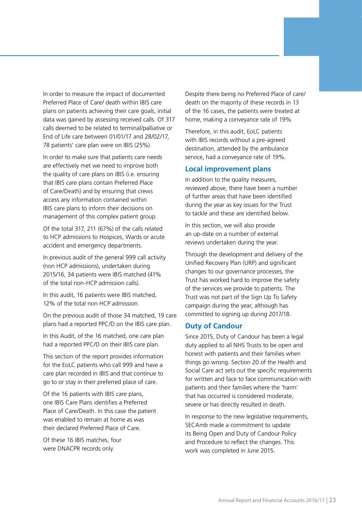In order to measure the impact of documented Preferred Place of Care/ death within IBIS care plans on patients achieving their care goals, initial data was gained by assessing received calls. Of 317 calls deemed to be related to terminal/palliative or End of Life care between 01/01/17 and 28/02/17, 78 patients' care plan were on IBIS (25%).

In order to make sure that patients care needs are effectively met we need to improve both the quality of care plans on IBIS (i.e. ensuring that IBIS care plans contain Preferred Place of Care/Death) and by ensuring that crews access any information contained within IBIS care plans to inform their decisions on management of this complex patient group.

Of the total 317, 211 (67%) of the calls related to HCP admissions to Hospices, Wards or acute accident and emergency departments.

In previous audit of the general 999 call activity (non HCP admissions), undertaken during 2015/16, 34 patients were IBIS matched (41% of the total non-HCP admission calls).

In this audit, 16 patients were IBIS matched, 12% of the total non HCP admission.

On the previous audit of those 34 matched, 19 care plans had a reported PPC/D on the IBIS care plan.

In this Audit, of the 16 matched, one care plan had a reported PPC/D on their IBIS care plan.

This section of the report provides information for the EoLC patients who call 999 and have a care plan recorded in IBIS and that continue to go to or stay in their preferred place of care.

Of the 16 patients with IBIS care plans, one IBIS Care Plans identifies a Preferred Place of Care/Death. In this case the patient was enabled to remain at home as was their declared Preferred Place of Care.

Of these 16 IBIS matches, four were DNACPR records only.

Despite there being no Preferred Place of care/ death on the majority of these records in 13 of the 16 cases, the patients were treated at home, making a conveyance rate of 19%

Therefore, in this audit, EoLC patients with IBIS records without a pre-agreed destination, attended by the ambulance service, had a conveyance rate of 19%.

### **Local improvement plans**

In addition to the quality measures, reviewed above, there have been a number of further areas that have been identified during the year as key issues for the Trust to tackle and these are identified below.

In this section, we will also provide an up-date on a number of external reviews undertaken during the year.

Through the development and delivery of the Unified Recovery Plan (URP) and significant changes to our governance processes, the Trust has worked hard to improve the safety of the services we provide to patients. The Trust was not part of the Sign Up To Safety campaign during the year, although has committed to signing up during 2017/18.

### **Duty of Candour**

Since 2015, Duty of Candour has been a legal duty applied to all NHS Trusts to be open and honest with patients and their families when things go wrong. Section 20 of the Health and Social Care act sets out the specific requirements for written and face to face communication with patients and their families where the 'harm' that has occurred is considered moderate, severe or has directly resulted in death.

In response to the new legislative requirements, SECAmb made a commitment to update its Being Open and Duty of Candour Policy and Procedure to reflect the changes. This work was completed in June 2015.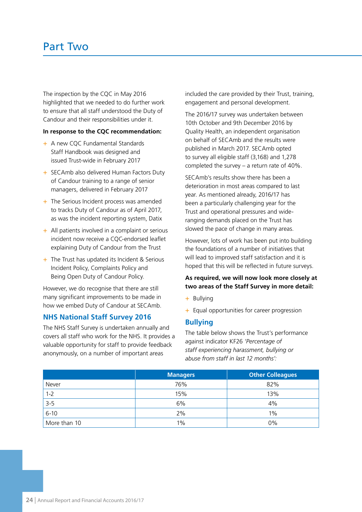The inspection by the CQC in May 2016 highlighted that we needed to do further work to ensure that all staff understood the Duty of Candour and their responsibilities under it.

#### **In response to the CQC recommendation:**

- + A new CQC Fundamental Standards Staff Handbook was designed and issued Trust-wide in February 2017
- + SECAmb also delivered Human Factors Duty of Candour training to a range of senior managers, delivered in February 2017
- + The Serious Incident process was amended to tracks Duty of Candour as of April 2017, as was the incident reporting system, Datix
- $+$  All patients involved in a complaint or serious incident now receive a CQC-endorsed leaflet explaining Duty of Candour from the Trust
- $+$  The Trust has updated its Incident & Serious Incident Policy, Complaints Policy and Being Open Duty of Candour Policy.

However, we do recognise that there are still many significant improvements to be made in how we embed Duty of Candour at SECAmb.

### **NHS National Staff Survey 2016**

The NHS Staff Survey is undertaken annually and covers all staff who work for the NHS. It provides a valuable opportunity for staff to provide feedback anonymously, on a number of important areas

included the care provided by their Trust, training, engagement and personal development.

The 2016/17 survey was undertaken between 10th October and 9th December 2016 by Quality Health, an independent organisation on behalf of SECAmb and the results were published in March 2017. SECAmb opted to survey all eligible staff (3,168) and 1,278 completed the survey – a return rate of 40%.

SECAmb's results show there has been a deterioration in most areas compared to last year. As mentioned already, 2016/17 has been a particularly challenging year for the Trust and operational pressures and wideranging demands placed on the Trust has slowed the pace of change in many areas.

However, lots of work has been put into building the foundations of a number of initiatives that will lead to improved staff satisfaction and it is hoped that this will be reflected in future surveys.

### **As required, we will now look more closely at two areas of the Staff Survey in more detail:**

- + Bullying
- + Equal opportunities for career progression

### **Bullying**

The table below shows the Trust's performance against indicator KF26 *'Percentage of staff experiencing harassment, bullying or abuse from staff in last 12 months':*

|              | <b>Managers</b> | <b>Other Colleagues</b> |  |  |
|--------------|-----------------|-------------------------|--|--|
| Never        | 76%             | 82%                     |  |  |
| $1 - 2$      | 15%             | 13%                     |  |  |
| $3 - 5$      | 6%              | 4%                      |  |  |
| $6 - 10$     | 2%              | 1%                      |  |  |
| More than 10 | 1%              | 0%                      |  |  |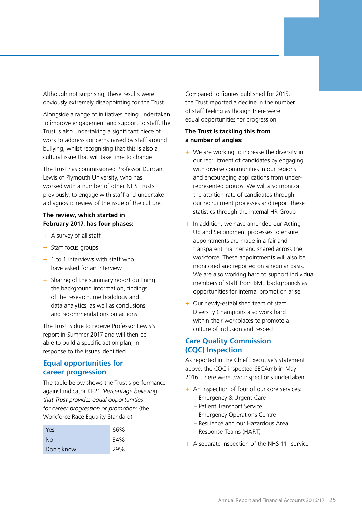Although not surprising, these results were obviously extremely disappointing for the Trust.

Alongside a range of initiatives being undertaken to improve engagement and support to staff, the Trust is also undertaking a significant piece of work to address concerns raised by staff around bullying, whilst recognising that this is also a cultural issue that will take time to change.

The Trust has commissioned Professor Duncan Lewis of Plymouth University, who has worked with a number of other NHS Trusts previously, to engage with staff and undertake a diagnostic review of the issue of the culture.

### **The review, which started in February 2017, has four phases:**

- $+$  A survey of all staff
- + Staff focus groups
- $+$  1 to 1 interviews with staff who have asked for an interview
- + Sharing of the summary report outlining the background information, findings of the research, methodology and data analytics, as well as conclusions and recommendations on actions

The Trust is due to receive Professor Lewis's report in Summer 2017 and will then be able to build a specific action plan, in response to the issues identified.

# **Equal opportunities for career progression**

The table below shows the Trust's performance against indicator KF21 *'Percentage believing that Trust provides equal opportunities for career progression or promotion'* (the Workforce Race Equality Standard):

| Yes        | 66% |
|------------|-----|
| <b>No</b>  | 34% |
| Don't know | 29% |

Compared to figures published for 2015, the Trust reported a decline in the number of staff feeling as though there were equal opportunities for progression.

### **The Trust is tackling this from a number of angles:**

- $+$  We are working to increase the diversity in our recruitment of candidates by engaging with diverse communities in our regions and encouraging applications from underrepresented groups. We will also monitor the attrition rate of candidates through our recruitment processes and report these statistics through the internal HR Group
- $+$  In addition, we have amended our Acting Up and Secondment processes to ensure appointments are made in a fair and transparent manner and shared across the workforce. These appointments will also be monitored and reported on a regular basis. We are also working hard to support individual members of staff from BME backgrounds as opportunities for internal promotion arise
- + Our newly-established team of staff Diversity Champions also work hard within their workplaces to promote a culture of inclusion and respect

# **Care Quality Commission (CQC) Inspection**

As reported in the Chief Executive's statement above, the CQC inspected SECAmb in May 2016. There were two inspections undertaken:

- + An inspection of four of our core services:
	- Emergency & Urgent Care
	- Patient Transport Service
	- Emergency Operations Centre
	- Resilience and our Hazardous Area Response Teams (HART)
- + A separate inspection of the NHS 111 service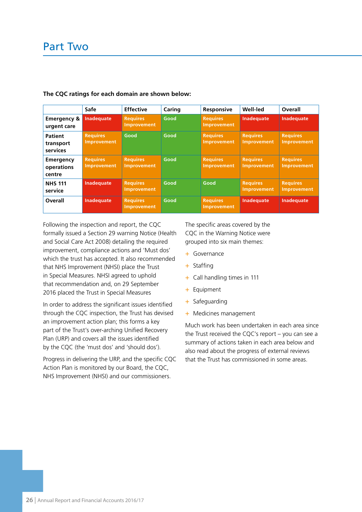|                                          | Safe                           | <b>Effective</b>                      | Caring | Responsive                            | Well-led                              | Overall                               |
|------------------------------------------|--------------------------------|---------------------------------------|--------|---------------------------------------|---------------------------------------|---------------------------------------|
| <b>Emergency &amp;</b><br>urgent care    | <b>Inadequate</b>              | <b>Requires</b><br>Improvement        | Good   | <b>Requires</b><br>Improvement        | Inadequate                            | <b>Inadequate</b>                     |
| <b>Patient</b><br>transport<br>services  | <b>Requires</b><br>Improvement | Good                                  | Good   | <b>Requires</b><br><b>Improvement</b> | <b>Requires</b><br><b>Improvement</b> | <b>Requires</b><br><b>Improvement</b> |
| <b>Emergency</b><br>operations<br>centre | <b>Requires</b><br>Improvement | <b>Requires</b><br>Improvement        | Good   | <b>Requires</b><br>Improvement        | <b>Requires</b><br>Improvement        | <b>Requires</b><br><b>Improvement</b> |
| <b>NHS 111</b><br>service                | Inadequate                     | <b>Requires</b><br>Improvement        | Good   | Good                                  | <b>Requires</b><br>Improvement        | <b>Requires</b><br>Improvement        |
| Overall                                  | <b>Inadequate</b>              | <b>Requires</b><br><b>Improvement</b> | Good   | <b>Requires</b><br><b>Improvement</b> | Inadequate                            | <b>Inadequate</b>                     |

#### **The CQC ratings for each domain are shown below:**

Following the inspection and report, the CQC formally issued a Section 29 warning Notice (Health and Social Care Act 2008) detailing the required improvement, compliance actions and 'Must dos' which the trust has accepted. It also recommended that NHS Improvement (NHSI) place the Trust in Special Measures. NHSI agreed to uphold that recommendation and, on 29 September 2016 placed the Trust in Special Measures

In order to address the significant issues identified through the CQC inspection, the Trust has devised an improvement action plan; this forms a key part of the Trust's over-arching Unified Recovery Plan (URP) and covers all the issues identified by the CQC (the 'must dos' and 'should dos').

Progress in delivering the URP, and the specific CQC Action Plan is monitored by our Board, the CQC, NHS Improvement (NHSI) and our commissioners.

The specific areas covered by the CQC in the Warning Notice were grouped into six main themes:

- + Governance
- + Staffing
- + Call handling times in 111
- + Equipment
- + Safeguarding
- + Medicines management

Much work has been undertaken in each area since the Trust received the CQC's report – you can see a summary of actions taken in each area below and also read about the progress of external reviews that the Trust has commissioned in some areas.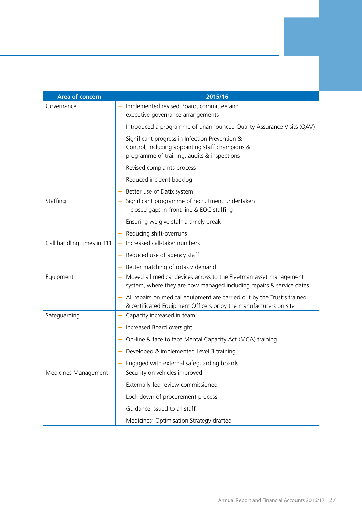| <b>Area of concern</b>     | 2015/16                                                                                                                                                   |
|----------------------------|-----------------------------------------------------------------------------------------------------------------------------------------------------------|
| Governance                 | $+$ Implemented revised Board, committee and<br>executive governance arrangements                                                                         |
|                            | Introduced a programme of unannounced Quality Assurance Visits (QAV)<br>÷                                                                                 |
|                            | Significant progress in Infection Prevention &<br>$\pm$<br>Control, including appointing staff champions &<br>programme of training, audits & inspections |
|                            | Revised complaints process<br>$+$                                                                                                                         |
|                            | + Reduced incident backlog                                                                                                                                |
|                            | + Better use of Datix system                                                                                                                              |
| Staffing                   | + Significant programme of recruitment undertaken<br>- closed gaps in front-line & EOC staffing                                                           |
|                            | Ensuring we give staff a timely break<br>÷.                                                                                                               |
|                            | + Reducing shift-overruns                                                                                                                                 |
| Call handling times in 111 | $+$ Increased call-taker numbers                                                                                                                          |
|                            | Reduced use of agency staff<br>$+$                                                                                                                        |
|                            | Better matching of rotas v demand                                                                                                                         |
| Equipment                  | Moved all medical devices across to the Fleetman asset management<br>$+$<br>system, where they are now managed including repairs & service dates          |
|                            | $+$ All repairs on medical equipment are carried out by the Trust's trained<br>& certificated Equipment Officers or by the manufacturers on site          |
| Safeguarding               | + Capacity increased in team                                                                                                                              |
|                            | + Increased Board oversight                                                                                                                               |
|                            | On-line & face to face Mental Capacity Act (MCA) training<br>÷.                                                                                           |
|                            | Developed & implemented Level 3 training                                                                                                                  |
|                            | $+$ Engaged with external safeguarding boards                                                                                                             |
| Medicines Management       | Security on vehicles improved<br>$+$ .                                                                                                                    |
|                            | Externally-led review commissioned<br>÷.                                                                                                                  |
|                            | Lock down of procurement process<br>÷                                                                                                                     |
|                            | Guidance issued to all staff<br>÷                                                                                                                         |
|                            | Medicines' Optimisation Strategy drafted<br>÷.                                                                                                            |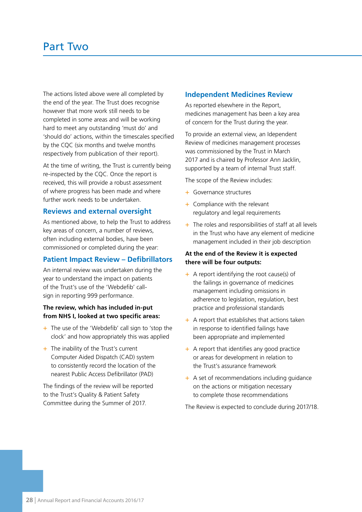# Part Two

The actions listed above were all completed by the end of the year. The Trust does recognise however that more work still needs to be completed in some areas and will be working hard to meet any outstanding 'must do' and 'should do' actions, within the timescales specified by the CQC (six months and twelve months respectively from publication of their report).

At the time of writing, the Trust is currently being re-inspected by the CQC. Once the report is received, this will provide a robust assessment of where progress has been made and where further work needs to be undertaken.

### **Reviews and external oversight**

As mentioned above, to help the Trust to address key areas of concern, a number of reviews, often including external bodies, have been commissioned or completed during the year:

### **Patient Impact Review – Defibrillators**

An internal review was undertaken during the year to understand the impact on patients of the Trust's use of the 'Webdefib' callsign in reporting 999 performance.

### **The review, which has included in-put from NHS I, looked at two specific areas:**

- + The use of the 'Webdefib' call sign to 'stop the clock' and how appropriately this was applied
- + The inability of the Trust's current Computer Aided Dispatch (CAD) system to consistently record the location of the nearest Public Access Defibrillator (PAD)

The findings of the review will be reported to the Trust's Quality & Patient Safety Committee during the Summer of 2017.

### **Independent Medicines Review**

As reported elsewhere in the Report, medicines management has been a key area of concern for the Trust during the year.

To provide an external view, an Idependent Review of medicines management processes was commissioned by the Trust in March 2017 and is chaired by Professor Ann Jacklin, supported by a team of internal Trust staff.

The scope of the Review includes:

- + Governance structures
- + Compliance with the relevant regulatory and legal requirements
- $+$  The roles and responsibilities of staff at all levels in the Trust who have any element of medicine management included in their job description

#### **At the end of the Review it is expected there will be four outputs:**

- + A report identifying the root cause(s) of the failings in governance of medicines management including omissions in adherence to legislation, regulation, best practice and professional standards
- + A report that establishes that actions taken in response to identified failings have been appropriate and implemented
- + A report that identifies any good practice or areas for development in relation to the Trust's assurance framework
- $+$  A set of recommendations including quidance on the actions or mitigation necessary to complete those recommendations

The Review is expected to conclude during 2017/18.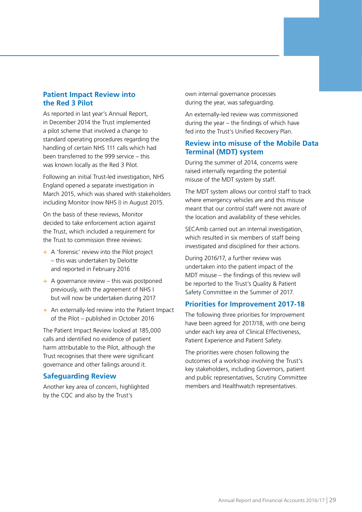# **Patient Impact Review into the Red 3 Pilot**

As reported in last year's Annual Report, in December 2014 the Trust implemented a pilot scheme that involved a change to standard operating procedures regarding the handling of certain NHS 111 calls which had been transferred to the 999 service – this was known locally as the Red 3 Pilot.

Following an initial Trust-led investigation, NHS England opened a separate investigation in March 2015, which was shared with stakeholders including Monitor (now NHS I) in August 2015.

On the basis of these reviews, Monitor decided to take enforcement action against the Trust, which included a requirement for the Trust to commission three reviews:

- + A 'forensic' review into the Pilot project – this was undertaken by Deloitte and reported in February 2016
- $+$  A governance review this was postponed previously, with the agreement of NHS I but will now be undertaken during 2017
- $+$  An externally-led review into the Patient Impact of the Pilot – published in October 2016

The Patient Impact Review looked at 185,000 calls and identified no evidence of patient harm attributable to the Pilot, although the Trust recognises that there were significant governance and other failings around it.

### **Safeguarding Review**

Another key area of concern, highlighted by the CQC and also by the Trust's

own internal governance processes during the year, was safeguarding.

An externally-led review was commissioned during the year – the findings of which have fed into the Trust's Unified Recovery Plan.

# **Review into misuse of the Mobile Data Terminal (MDT) system**

During the summer of 2014, concerns were raised internally regarding the potential misuse of the MDT system by staff.

The MDT system allows our control staff to track where emergency vehicles are and this misuse meant that our control staff were not aware of the location and availability of these vehicles.

SECAmb carried out an internal investigation, which resulted in six members of staff being investigated and disciplined for their actions.

During 2016/17, a further review was undertaken into the patient impact of the MDT misuse – the findings of this review will be reported to the Trust's Quality & Patient Safety Committee in the Summer of 2017.

### **Priorities for Improvement 2017-18**

The following three priorities for Improvement have been agreed for 2017/18, with one being under each key area of Clinical Effectiveness, Patient Experience and Patient Safety.

The priorities were chosen following the outcomes of a workshop involving the Trust's key stakeholders, including Governors, patient and public representatives, Scrutiny Committee members and Healthwatch representatives.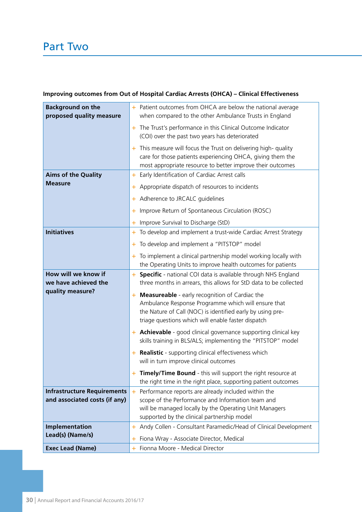# Part Two

# **Improving outcomes from Out of Hospital Cardiac Arrests (OHCA) – Clinical Effectiveness**

| <b>Background on the</b><br>proposed quality measure                | + Patient outcomes from OHCA are below the national average<br>when compared to the other Ambulance Trusts in England                                                                                                                   |
|---------------------------------------------------------------------|-----------------------------------------------------------------------------------------------------------------------------------------------------------------------------------------------------------------------------------------|
|                                                                     | + The Trust's performance in this Clinical Outcome Indicator<br>(COI) over the past two years has deteriorated                                                                                                                          |
|                                                                     | + This measure will focus the Trust on delivering high-quality<br>care for those patients experiencing OHCA, giving them the<br>most appropriate resource to better improve their outcomes                                              |
| <b>Aims of the Quality</b>                                          | Early Identification of Cardiac Arrest calls<br>$\pm$                                                                                                                                                                                   |
| <b>Measure</b>                                                      | Appropriate dispatch of resources to incidents<br>÷.                                                                                                                                                                                    |
|                                                                     | + Adherence to JRCALC guidelines                                                                                                                                                                                                        |
|                                                                     | Improve Return of Spontaneous Circulation (ROSC)<br>÷                                                                                                                                                                                   |
|                                                                     | Improve Survival to Discharge (StD)                                                                                                                                                                                                     |
| <b>Initiatives</b>                                                  | + To develop and implement a trust-wide Cardiac Arrest Strategy                                                                                                                                                                         |
|                                                                     | To develop and implement a "PITSTOP" model<br>$+$                                                                                                                                                                                       |
|                                                                     | $+$ To implement a clinical partnership model working locally with<br>the Operating Units to improve health outcomes for patients                                                                                                       |
| How will we know if<br>we have achieved the                         | <b>Specific</b> - national COI data is available through NHS England<br>$+$<br>three months in arrears, this allows for StD data to be collected                                                                                        |
| quality measure?                                                    | <b>Measureable</b> - early recognition of Cardiac the<br>$+$<br>Ambulance Response Programme which will ensure that<br>the Nature of Call (NOC) is identified early by using pre-<br>triage questions which will enable faster dispatch |
|                                                                     | + Achievable - good clinical governance supporting clinical key<br>skills training in BLS/ALS; implementing the "PITSTOP" model                                                                                                         |
|                                                                     | + Realistic - supporting clinical effectiveness which<br>will in turn improve clinical outcomes                                                                                                                                         |
|                                                                     | + Timely/Time Bound - this will support the right resource at<br>the right time in the right place, supporting patient outcomes                                                                                                         |
| <b>Infrastructure Requirements</b><br>and associated costs (if any) | + Performance reports are already included within the<br>scope of the Performance and Information team and<br>will be managed locally by the Operating Unit Managers<br>supported by the clinical partnership model                     |
| Implementation                                                      | + Andy Collen - Consultant Paramedic/Head of Clinical Development                                                                                                                                                                       |
| Lead(s) (Name/s)                                                    | Fiona Wray - Associate Director, Medical<br>$\pm$                                                                                                                                                                                       |
| <b>Exec Lead (Name)</b>                                             | Fionna Moore - Medical Director<br>$\pm$                                                                                                                                                                                                |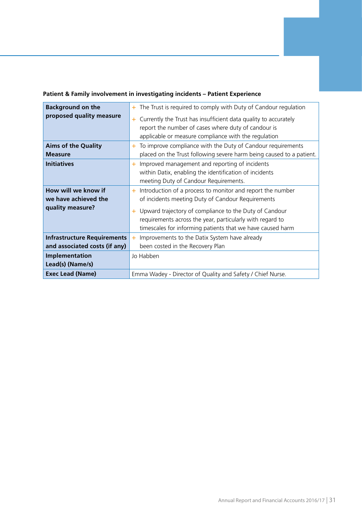| <b>Background on the</b><br>proposed quality measure                | The Trust is required to comply with Duty of Candour regulation<br>$+$<br>Currently the Trust has insufficient data quality to accurately<br>$+$<br>report the number of cases where duty of candour is<br>applicable or measure compliance with the regulation                                                 |
|---------------------------------------------------------------------|-----------------------------------------------------------------------------------------------------------------------------------------------------------------------------------------------------------------------------------------------------------------------------------------------------------------|
| <b>Aims of the Quality</b><br><b>Measure</b>                        | To improve compliance with the Duty of Candour requirements<br>$+$<br>placed on the Trust following severe harm being caused to a patient.                                                                                                                                                                      |
| <b>Initiatives</b>                                                  | + Improved management and reporting of incidents<br>within Datix, enabling the identification of incidents<br>meeting Duty of Candour Requirements.                                                                                                                                                             |
| How will we know if<br>we have achieved the<br>quality measure?     | $+$ Introduction of a process to monitor and report the number<br>of incidents meeting Duty of Candour Requirements<br>Upward trajectory of compliance to the Duty of Candour<br>$+$<br>requirements across the year, particularly with regard to<br>timescales for informing patients that we have caused harm |
| <b>Infrastructure Requirements</b><br>and associated costs (if any) | Improvements to the Datix System have already<br>$+$<br>been costed in the Recovery Plan                                                                                                                                                                                                                        |
| Implementation<br>Lead(s) (Name/s)                                  | Jo Habben                                                                                                                                                                                                                                                                                                       |
| <b>Exec Lead (Name)</b>                                             | Emma Wadey - Director of Quality and Safety / Chief Nurse.                                                                                                                                                                                                                                                      |

# **Patient & Family involvement in investigating incidents – Patient Experience**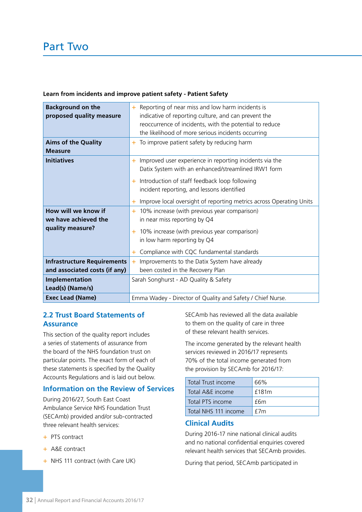# Part Two

#### **Learn from incidents and improve patient safety - Patient Safety**

| <b>Background on the</b><br>proposed quality measure<br><b>Aims of the Quality</b><br><b>Measure</b> | + Reporting of near miss and low harm incidents is<br>indicative of reporting culture, and can prevent the<br>reoccurrence of incidents, with the potential to reduce<br>the likelihood of more serious incidents occurring<br>+ To improve patient safety by reducing harm                        |
|------------------------------------------------------------------------------------------------------|----------------------------------------------------------------------------------------------------------------------------------------------------------------------------------------------------------------------------------------------------------------------------------------------------|
| <b>Initiatives</b>                                                                                   | Improved user experience in reporting incidents via the<br>$+$<br>Datix System with an enhanced/streamlined IRW1 form<br>Introduction of staff feedback loop following<br>$+$<br>incident reporting, and lessons identified<br>Improve local oversight of reporting metrics across Operating Units |
| How will we know if<br>we have achieved the<br>quality measure?                                      | + 10% increase (with previous year comparison)<br>in near miss reporting by Q4<br>10% increase (with previous year comparison)<br>$+$<br>in low harm reporting by Q4<br>Compliance with CQC fundamental standards<br>$\pm$                                                                         |
| <b>Infrastructure Requirements</b><br>and associated costs (if any)                                  | Improvements to the Datix System have already<br>$+$<br>been costed in the Recovery Plan                                                                                                                                                                                                           |
| Implementation<br>Lead(s) (Name/s)                                                                   | Sarah Songhurst - AD Quality & Safety                                                                                                                                                                                                                                                              |
| <b>Exec Lead (Name)</b>                                                                              | Emma Wadey - Director of Quality and Safety / Chief Nurse.                                                                                                                                                                                                                                         |

# **2.2 Trust Board Statements of Assurance**

This section of the quality report includes a series of statements of assurance from the board of the NHS foundation trust on particular points. The exact form of each of these statements is specified by the Quality Accounts Regulations and is laid out below.

# **Information on the Review of Services**

During 2016/27, South East Coast Ambulance Service NHS Foundation Trust (SECAmb) provided and/or sub-contracted three relevant health services:

- + PTS contract
- + A&E contract
- + NHS 111 contract (with Care UK)

SECAmb has reviewed all the data available to them on the quality of care in three of these relevant health services.

The income generated by the relevant health services reviewed in 2016/17 represents 70% of the total income generated from the provision by SECAmb for 2016/17:

| Total Trust income   | 66%   |
|----------------------|-------|
| Total A&E income     | f181m |
| Total PTS income     | f6m   |
| Total NHS 111 income | f7m   |

# **Clinical Audits**

During 2016-17 nine national clinical audits and no national confidential enquiries covered relevant health services that SECAmb provides.

During that period, SECAmb participated in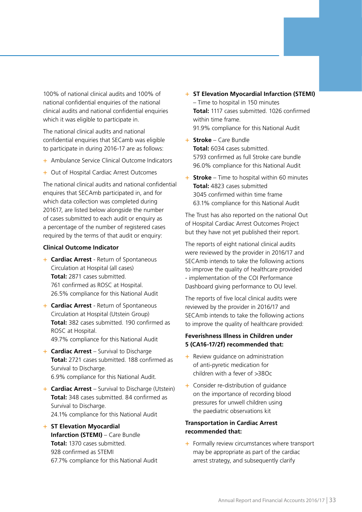100% of national clinical audits and 100% of national confidential enquiries of the national clinical audits and national confidential enquiries which it was eligible to participate in.

The national clinical audits and national confidential enquiries that SECamb was eligible to participate in during 2016-17 are as follows:

- + Ambulance Service Clinical Outcome Indicators
- + Out of Hospital Cardiac Arrest Outcomes

The national clinical audits and national confidential enquires that SECAmb participated in, and for which data collection was completed during 201617, are listed below alongside the number of cases submitted to each audit or enquiry as a percentage of the number of registered cases required by the terms of that audit or enquiry:

#### **Clinical Outcome Indicator**

- + **Cardiac Arrest** Return of Spontaneous Circulation at Hospital (all cases) **Total:** 2871 cases submitted. 761 confirmed as ROSC at Hospital. 26.5% compliance for this National Audit
- + **Cardiac Arrest** Return of Spontaneous Circulation at Hospital (Utstein Group) **Total:** 382 cases submitted. 190 confirmed as ROSC at Hospital. 49.7% compliance for this National Audit
- + **Cardiac Arrest** Survival to Discharge **Total:** 2721 cases submitted. 188 confirmed as Survival to Discharge. 6.9% compliance for this National Audit.
- + **Cardiac Arrest** Survival to Discharge (Utstein) **Total:** 348 cases submitted. 84 confirmed as Survival to Discharge. 24.1% compliance for this National Audit
- + **ST Elevation Myocardial Infarction (STEMI)** – Care Bundle **Total:** 1370 cases submitted. 928 confirmed as STEMI 67.7% compliance for this National Audit

+ **ST Elevation Myocardial Infarction (STEMI)** – Time to hospital in 150 minutes **Total:** 1117 cases submitted. 1026 confirmed within time frame.

91.9% compliance for this National Audit

- + **Stroke** Care Bundle **Total:** 6034 cases submitted. 5793 confirmed as full Stroke care bundle 96.0% compliance for this National Audit
- + **Stroke** Time to hospital within 60 minutes **Total:** 4823 cases submitted 3045 confirmed within time frame 63.1% compliance for this National Audit

The Trust has also reported on the national Out of Hospital Cardiac Arrest Outcomes Project but they have not yet published their report.

The reports of eight national clinical audits were reviewed by the provider in 2016/17 and SECAmb intends to take the following actions to improve the quality of healthcare provided - implementation of the COI Performance Dashboard giving performance to OU level.

The reports of five local clinical audits were reviewed by the provider in 2016/17 and SECAmb intends to take the following actions to improve the quality of healthcare provided:

### **Feverishness Illness in Children under 5 (CA16-17/2f) recommended that:**

- + Review guidance on administration of anti-pyretic medication for children with a fever of >38Oc
- + Consider re-distribution of guidance on the importance of recording blood pressures for unwell children using the paediatric observations kit

### **Transportation in Cardiac Arrest recommended that:**

+ Formally review circumstances where transport may be appropriate as part of the cardiac arrest strategy, and subsequently clarify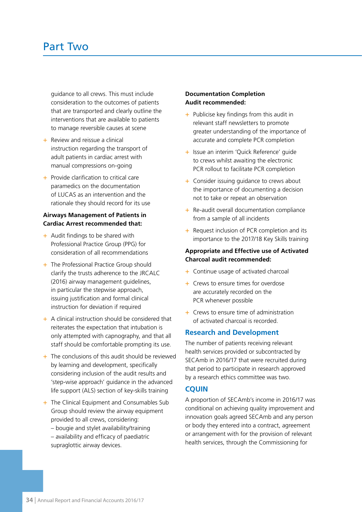# Part Two

guidance to all crews. This must include consideration to the outcomes of patients that are transported and clearly outline the interventions that are available to patients to manage reversible causes at scene

- $+$  Review and reissue a clinical instruction regarding the transport of adult patients in cardiac arrest with manual compressions on-going
- + Provide clarification to critical care paramedics on the documentation of LUCAS as an intervention and the rationale they should record for its use

### **Airways Management of Patients in Cardiac Arrest recommended that:**

- $+$  Audit findings to be shared with Professional Practice Group (PPG) for consideration of all recommendations
- + The Professional Practice Group should clarify the trusts adherence to the JRCALC (2016) airway management guidelines, in particular the stepwise approach, issuing justification and formal clinical instruction for deviation if required
- $+$  A clinical instruction should be considered that reiterates the expectation that intubation is only attempted with capnography, and that all staff should be comfortable prompting its use.
- $+$  The conclusions of this audit should be reviewed by learning and development, specifically considering inclusion of the audit results and 'step-wise approach' guidance in the advanced life support (ALS) section of key-skills training
- + The Clinical Equipment and Consumables Sub Group should review the airway equipment provided to all crews, considering:
	- bougie and stylet availability/training – availability and efficacy of paediatric supraglottic airway devices.

### **Documentation Completion Audit recommended:**

- + Publicise key findings from this audit in relevant staff newsletters to promote greater understanding of the importance of accurate and complete PCR completion
- + Issue an interim 'Quick Reference' guide to crews whilst awaiting the electronic PCR rollout to facilitate PCR completion
- + Consider issuing guidance to crews about the importance of documenting a decision not to take or repeat an observation
- + Re-audit overall documentation compliance from a sample of all incidents
- + Request inclusion of PCR completion and its importance to the 2017/18 Key Skills training

### **Appropriate and Effective use of Activated Charcoal audit recommended:**

- + Continue usage of activated charcoal
- + Crews to ensure times for overdose are accurately recorded on the PCR whenever possible
- $+$  Crews to ensure time of administration of activated charcoal is recorded.

# **Research and Development**

The number of patients receiving relevant health services provided or subcontracted by SECAmb in 2016/17 that were recruited during that period to participate in research approved by a research ethics committee was two.

### **CQUIN**

A proportion of SECAmb's income in 2016/17 was conditional on achieving quality improvement and innovation goals agreed SECAmb and any person or body they entered into a contract, agreement or arrangement with for the provision of relevant health services, through the Commissioning for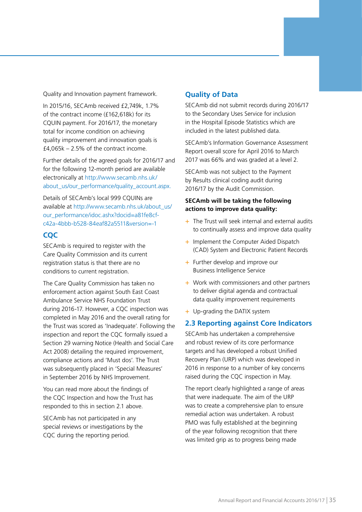Quality and Innovation payment framework.

In 2015/16, SECAmb received £2,749k, 1.7% of the contract income (£162,618k) for its CQUIN payment. For 2016/17, the monetary total for income condition on achieving quality improvement and innovation goals is £4,065k – 2.5% of the contract income.

Further details of the agreed goals for 2016/17 and for the following 12-month period are available electronically at http://www.secamb.nhs.uk/ about\_us/our\_performance/quality\_account.aspx.

Details of SECAmb's local 999 CQUINs are available at http://www.secamb.nhs.uk/about\_us/ our\_performance/idoc.ashx?docid=a81fe8cfc42a-4bbb-b528-84eaf82a5511&version=-1

# **CQC**

SECAmb is required to register with the Care Quality Commission and its current registration status is that there are no conditions to current registration.

The Care Quality Commission has taken no enforcement action against South East Coast Ambulance Service NHS Foundation Trust during 2016-17. However, a CQC inspection was completed in May 2016 and the overall rating for the Trust was scored as 'Inadequate'. Following the inspection and report the CQC formally issued a Section 29 warning Notice (Health and Social Care Act 2008) detailing the required improvement, compliance actions and 'Must dos'. The Trust was subsequently placed in 'Special Measures' in September 2016 by NHS Improvement.

You can read more about the findings of the CQC Inspection and how the Trust has responded to this in section 2.1 above.

SECAmb has not participated in any special reviews or investigations by the CQC during the reporting period.

# **Quality of Data**

SECAmb did not submit records during 2016/17 to the Secondary Uses Service for inclusion in the Hospital Episode Statistics which are included in the latest published data.

SECAmb's Information Governance Assessment Report overall score for April 2016 to March 2017 was 66% and was graded at a level 2.

SECAmb was not subject to the Payment by Results clinical coding audit during 2016/17 by the Audit Commission.

### **SECAmb will be taking the following actions to improve data quality:**

- $+$  The Trust will seek internal and external audits to continually assess and improve data quality
- $+$  Implement the Computer Aided Dispatch (CAD) System and Electronic Patient Records
- $+$  Further develop and improve our Business Intelligence Service
- + Work with commissioners and other partners to deliver digital agenda and contractual data quality improvement requirements
- + Up-grading the DATIX system

# **2.3 Reporting against Core Indicators**

SECAmb has undertaken a comprehensive and robust review of its core performance targets and has developed a robust Unified Recovery Plan (URP) which was developed in 2016 in response to a number of key concerns raised during the CQC inspection in May.

The report clearly highlighted a range of areas that were inadequate. The aim of the URP was to create a comprehensive plan to ensure remedial action was undertaken. A robust PMO was fully established at the beginning of the year following recognition that there was limited grip as to progress being made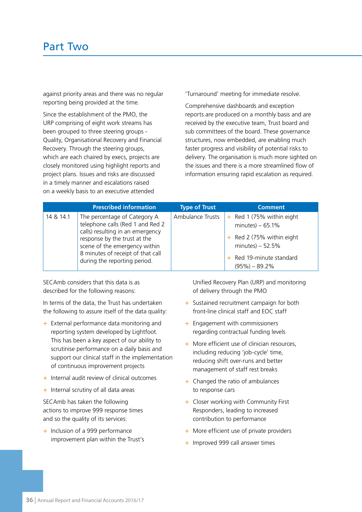against priority areas and there was no regular reporting being provided at the time.

Since the establishment of the PMO, the URP comprising of eight work streams has been grouped to three steering groups - Quality, Organisational Recovery and Financial Recovery. Through the steering groups, which are each chaired by execs, projects are closely monitored using highlight reports and project plans. Issues and risks are discussed in a timely manner and escalations raised on a weekly basis to an executive attended

'Turnaround' meeting for immediate resolve.

Comprehensive dashboards and exception reports are produced on a monthly basis and are received by the executive team, Trust board and sub committees of the board. These governance structures, now embedded, are enabling much faster progress and visibility of potential risks to delivery. The organisation is much more sighted on the issues and there is a more streamlined flow of information ensuring rapid escalation as required.

|           | <b>Prescribed information</b>                                                                                                                                                                                                              | <b>Type of Trust</b> | <b>Comment</b>                                                                                                                                            |
|-----------|--------------------------------------------------------------------------------------------------------------------------------------------------------------------------------------------------------------------------------------------|----------------------|-----------------------------------------------------------------------------------------------------------------------------------------------------------|
| 14 & 14.1 | The percentage of Category A<br>telephone calls (Red 1 and Red 2<br>calls) resulting in an emergency<br>response by the trust at the<br>scene of the emergency within<br>8 minutes of receipt of that call<br>during the reporting period. | Ambulance Trusts     | $+$ Red 1 (75% within eight<br>$minutes) - 65.1%$<br>$+$ Red 2 (75% within eight<br>$minutes) - 52.5%$<br>$+$ Red 19-minute standard<br>$(95\%) - 89.2\%$ |

SECAmb considers that this data is as described for the following reasons:

In terms of the data, the Trust has undertaken the following to assure itself of the data quality:

- + External performance data monitoring and reporting system developed by Lightfoot. This has been a key aspect of our ability to scrutinise performance on a daily basis and support our clinical staff in the implementation of continuous improvement projects
- + Internal audit review of clinical outcomes
- $+$  Internal scrutiny of all data areas

SECAmb has taken the following actions to improve 999 response times and so the quality of its services:

+ Inclusion of a 999 performance improvement plan within the Trust's Unified Recovery Plan (URP) and monitoring of delivery through the PMO

- + Sustained recruitment campaign for both front-line clinical staff and EOC staff
- $+$  Engagement with commissioners regarding contractual funding levels
- + More efficient use of clinician resources, including reducing 'job-cycle' time, reducing shift over-runs and better management of staff rest breaks
- + Changed the ratio of ambulances to response cars
- + Closer working with Community First Responders, leading to increased contribution to performance
- + More efficient use of private providers
- + Improved 999 call answer times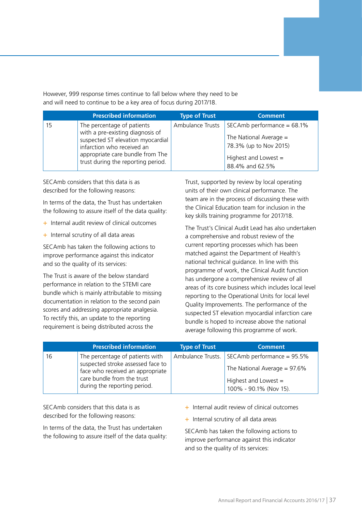| <b>Prescribed information</b>                                                                       | <b>Type of Trust</b> | <b>Comment</b>                                     |
|-----------------------------------------------------------------------------------------------------|----------------------|----------------------------------------------------|
| The percentage of patients<br>with a pre-existing diagnosis of                                      | Ambulance Trusts     | SECAmb performance = $68.1\%$                      |
| suspected ST elevation myocardial<br>infarction who received an<br>appropriate care bundle from The |                      | The National Average $=$<br>78.3% (up to Nov 2015) |
| trust during the reporting period.                                                                  |                      | Highest and Lowest $=$<br>88.4% and 62.5%          |

However, 999 response times continue to fall below where they need to be and will need to continue to be a key area of focus during 2017/18.

SECAmb considers that this data is as described for the following reasons:

In terms of the data, the Trust has undertaken the following to assure itself of the data quality:

- + Internal audit review of clinical outcomes
- + Internal scrutiny of all data areas

SECAmb has taken the following actions to improve performance against this indicator and so the quality of its services:

The Trust is aware of the below standard performance in relation to the STEMI care bundle which is mainly attributable to missing documentation in relation to the second pain scores and addressing appropriate analgesia. To rectify this, an update to the reporting requirement is being distributed across the

Trust, supported by review by local operating units of their own clinical performance. The team are in the process of discussing these with the Clinical Education team for inclusion in the key skills training programme for 2017/18.

The Trust's Clinical Audit Lead has also undertaken a comprehensive and robust review of the current reporting processes which has been matched against the Department of Health's national technical guidance. In line with this programme of work, the Clinical Audit function has undergone a comprehensive review of all areas of its core business which includes local level reporting to the Operational Units for local level Quality Improvements. The performance of the suspected ST elevation myocardial infarction care bundle is hoped to increase above the national average following this programme of work.

|                                                                                                | <b>Prescribed information</b>                                        | <b>Type of Trust</b>            | <b>Comment</b>                                  |
|------------------------------------------------------------------------------------------------|----------------------------------------------------------------------|---------------------------------|-------------------------------------------------|
|                                                                                                | The percentage of patients with<br>suspected stroke assessed face to |                                 | Ambulance Trusts. SECAmb performance = $95.5\%$ |
| face who received an appropriate<br>care bundle from the trust<br>during the reporting period. |                                                                      | The National Average = $97.6\%$ |                                                 |
|                                                                                                |                                                                      |                                 | Highest and Lowest $=$                          |
|                                                                                                |                                                                      | 100% - 90.1% (Nov 15).          |                                                 |

SECAmb considers that this data is as described for the following reasons:

In terms of the data, the Trust has undertaken the following to assure itself of the data quality:

- $+$  Internal audit review of clinical outcomes
- $+$  Internal scrutiny of all data areas

SECAmb has taken the following actions to improve performance against this indicator and so the quality of its services: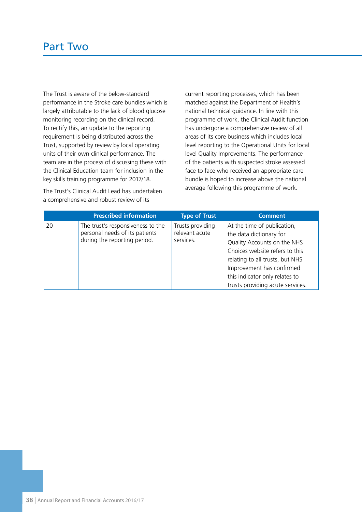# Part Two

The Trust is aware of the below-standard performance in the Stroke care bundles which is largely attributable to the lack of blood glucose monitoring recording on the clinical record. To rectify this, an update to the reporting requirement is being distributed across the Trust, supported by review by local operating units of their own clinical performance. The team are in the process of discussing these with the Clinical Education team for inclusion in the key skills training programme for 2017/18.

The Trust's Clinical Audit Lead has undertaken a comprehensive and robust review of its

current reporting processes, which has been matched against the Department of Health's national technical guidance. In line with this programme of work, the Clinical Audit function has undergone a comprehensive review of all areas of its core business which includes local level reporting to the Operational Units for local level Quality Improvements. The performance of the patients with suspected stroke assessed face to face who received an appropriate care bundle is hoped to increase above the national average following this programme of work.

|    | <b>Prescribed information</b>                                                                       | <b>Type of Trust</b>                            | <b>Comment</b>                                                                                                                                                                                                                                                |
|----|-----------------------------------------------------------------------------------------------------|-------------------------------------------------|---------------------------------------------------------------------------------------------------------------------------------------------------------------------------------------------------------------------------------------------------------------|
| 20 | The trust's responsiveness to the<br>personal needs of its patients<br>during the reporting period. | Trusts providing<br>relevant acute<br>services. | At the time of publication,<br>the data dictionary for<br>Quality Accounts on the NHS<br>Choices website refers to this<br>relating to all trusts, but NHS<br>Improvement has confirmed<br>this indicator only relates to<br>trusts providing acute services. |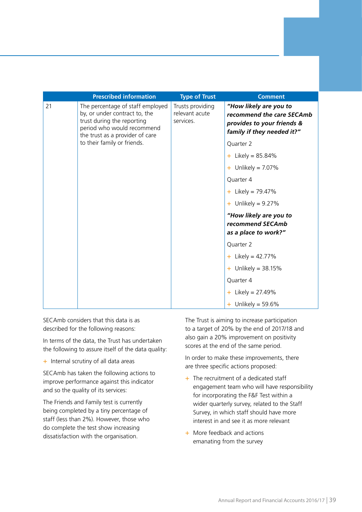|    | <b>Prescribed information</b>                                                                                                                                    | <b>Type of Trust</b>                            | <b>Comment</b>                                                                                                  |
|----|------------------------------------------------------------------------------------------------------------------------------------------------------------------|-------------------------------------------------|-----------------------------------------------------------------------------------------------------------------|
| 21 | The percentage of staff employed<br>by, or under contract to, the<br>trust during the reporting<br>period who would recommend<br>the trust as a provider of care | Trusts providing<br>relevant acute<br>services. | "How likely are you to<br>recommend the care SECAmb<br>provides to your friends &<br>family if they needed it?" |
|    | to their family or friends.                                                                                                                                      |                                                 | Quarter 2                                                                                                       |
|    |                                                                                                                                                                  |                                                 | + Likely = $85.84\%$                                                                                            |
|    |                                                                                                                                                                  |                                                 | + Unlikely = $7.07\%$                                                                                           |
|    |                                                                                                                                                                  |                                                 | Quarter 4                                                                                                       |
|    |                                                                                                                                                                  |                                                 | + Likely = $79.47%$                                                                                             |
|    |                                                                                                                                                                  |                                                 | + Unlikely = $9.27\%$                                                                                           |
|    |                                                                                                                                                                  |                                                 | "How likely are you to<br>recommend SECAmb<br>as a place to work?"                                              |
|    |                                                                                                                                                                  |                                                 | Quarter 2                                                                                                       |
|    |                                                                                                                                                                  |                                                 | + Likely = $42.77%$                                                                                             |
|    |                                                                                                                                                                  |                                                 | $+$ Unlikely = 38.15%                                                                                           |
|    |                                                                                                                                                                  |                                                 | Quarter 4                                                                                                       |
|    |                                                                                                                                                                  |                                                 | + Likely = $27.49%$                                                                                             |
|    |                                                                                                                                                                  |                                                 | $+$ Unlikely = 59.6%                                                                                            |

SECAmb considers that this data is as described for the following reasons:

In terms of the data, the Trust has undertaken the following to assure itself of the data quality:

 $+$  Internal scrutiny of all data areas

SECAmb has taken the following actions to improve performance against this indicator and so the quality of its services:

The Friends and Family test is currently being completed by a tiny percentage of staff (less than 2%). However, those who do complete the test show increasing dissatisfaction with the organisation.

The Trust is aiming to increase participation to a target of 20% by the end of 2017/18 and also gain a 20% improvement on positivity scores at the end of the same period.

In order to make these improvements, there are three specific actions proposed:

- $+$  The recruitment of a dedicated staff engagement team who will have responsibility for incorporating the F&F Test within a wider quarterly survey, related to the Staff Survey, in which staff should have more interest in and see it as more relevant
- + More feedback and actions emanating from the survey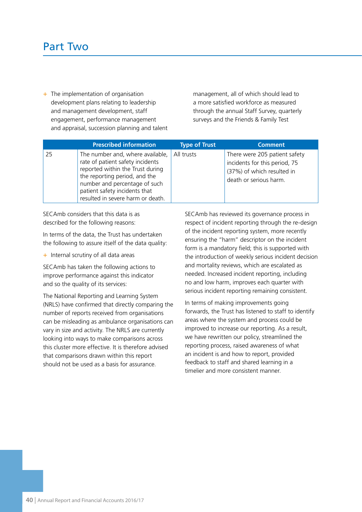# Part Two

 $+$  The implementation of organisation development plans relating to leadership and management development, staff engagement, performance management and appraisal, succession planning and talent management, all of which should lead to a more satisfied workforce as measured through the annual Staff Survey, quarterly surveys and the Friends & Family Test

|    | <b>Prescribed information</b>                                                                                                                                                                                                                    | <b>Type of Trust</b> | <b>Comment</b>                                                                                                         |
|----|--------------------------------------------------------------------------------------------------------------------------------------------------------------------------------------------------------------------------------------------------|----------------------|------------------------------------------------------------------------------------------------------------------------|
| 25 | The number and, where available,<br>rate of patient safety incidents<br>reported within the Trust during<br>the reporting period, and the<br>number and percentage of such<br>patient safety incidents that<br>resulted in severe harm or death. | All trusts           | There were 205 patient safety<br>incidents for this period, 75<br>(37%) of which resulted in<br>death or serious harm. |

SECAmb considers that this data is as described for the following reasons:

In terms of the data, the Trust has undertaken the following to assure itself of the data quality:

 $+$  Internal scrutiny of all data areas

SECAmb has taken the following actions to improve performance against this indicator and so the quality of its services:

The National Reporting and Learning System (NRLS) have confirmed that directly comparing the number of reports received from organisations can be misleading as ambulance organisations can vary in size and activity. The NRLS are currently looking into ways to make comparisons across this cluster more effective. It is therefore advised that comparisons drawn within this report should not be used as a basis for assurance.

SECAmb has reviewed its governance process in respect of incident reporting through the re-design of the incident reporting system, more recently ensuring the "harm" descriptor on the incident form is a mandatory field; this is supported with the introduction of weekly serious incident decision and mortality reviews, which are escalated as needed. Increased incident reporting, including no and low harm, improves each quarter with serious incident reporting remaining consistent.

In terms of making improvements going forwards, the Trust has listened to staff to identify areas where the system and process could be improved to increase our reporting. As a result, we have rewritten our policy, streamlined the reporting process, raised awareness of what an incident is and how to report, provided feedback to staff and shared learning in a timelier and more consistent manner.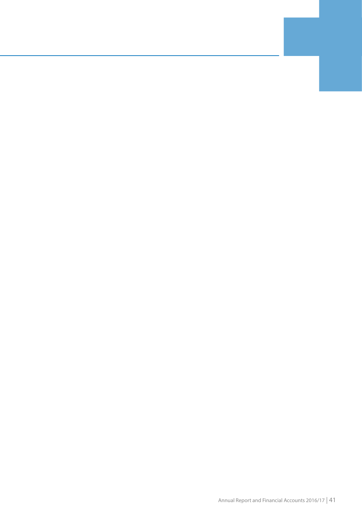Annual Report and Financial Accounts 2016/17 | 41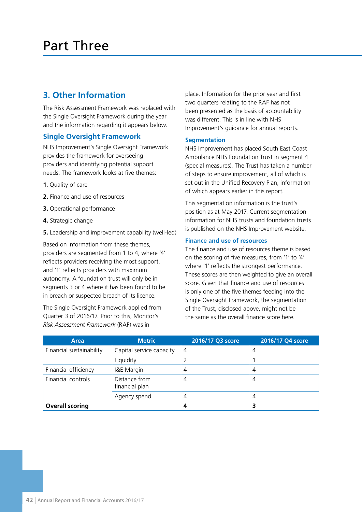# **3. Other Information**

The Risk Assessment Framework was replaced with the Single Oversight Framework during the year and the information regarding it appears below.

### **Single Oversight Framework**

NHS Improvement's Single Oversight Framework provides the framework for overseeing providers and identifying potential support needs. The framework looks at five themes:

- **1.** Quality of care
- **2.** Finance and use of resources
- **3.** Operational performance
- **4.** Strategic change
- **5.** Leadership and improvement capability (well-led)

Based on information from these themes, providers are segmented from 1 to 4, where '4' reflects providers receiving the most support, and '1' reflects providers with maximum autonomy. A foundation trust will only be in segments 3 or 4 where it has been found to be in breach or suspected breach of its licence.

The Single Oversight Framework applied from Quarter 3 of 2016/17. Prior to this, Monitor's *Risk Assessment Framework* (RAF) was in

place. Information for the prior year and first two quarters relating to the RAF has not been presented as the basis of accountability was different. This is in line with NHS Improvement's guidance for annual reports.

### **Segmentation**

NHS Improvement has placed South East Coast Ambulance NHS Foundation Trust in segment 4 (special measures). The Trust has taken a number of steps to ensure improvement, all of which is set out in the Unified Recovery Plan, information of which appears earlier in this report.

This segmentation information is the trust's position as at May 2017. Current segmentation information for NHS trusts and foundation trusts is published on the NHS Improvement website.

### **Finance and use of resources**

The finance and use of resources theme is based on the scoring of five measures, from '1' to '4' where '1' reflects the strongest performance. These scores are then weighted to give an overall score. Given that finance and use of resources is only one of the five themes feeding into the Single Oversight Framework, the segmentation of the Trust, disclosed above, might not be the same as the overall finance score here.

| <b>Area</b>              | <b>Metric</b>                   | 2016/17 Q3 score | 2016/17 Q4 score |
|--------------------------|---------------------------------|------------------|------------------|
| Financial sustainability | Capital service capacity        | $\overline{4}$   | 4                |
|                          | Liquidity                       |                  |                  |
| Financial efficiency     | I&E Margin                      | $\overline{4}$   | 4                |
| Financial controls       | Distance from<br>financial plan | 4                | 4                |
|                          | Agency spend                    | 4                | 4                |
| <b>Overall scoring</b>   |                                 | 4                |                  |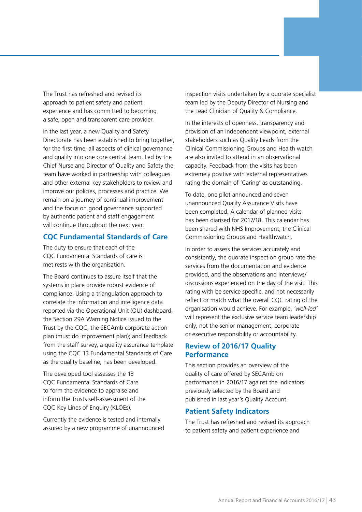The Trust has refreshed and revised its approach to patient safety and patient experience and has committed to becoming a safe, open and transparent care provider.

In the last year, a new Quality and Safety Directorate has been established to bring together, for the first time, all aspects of clinical governance and quality into one core central team. Led by the Chief Nurse and Director of Quality and Safety the team have worked in partnership with colleagues and other external key stakeholders to review and improve our policies, processes and practice. We remain on a journey of continual improvement and the focus on good governance supported by authentic patient and staff engagement will continue throughout the next year.

### **CQC Fundamental Standards of Care**

The duty to ensure that each of the CQC Fundamental Standards of care is met rests with the organisation.

The Board continues to assure itself that the systems in place provide robust evidence of compliance. Using a triangulation approach to correlate the information and intelligence data reported via the Operational Unit (OU) dashboard, the Section 29A Warning Notice issued to the Trust by the CQC, the SECAmb corporate action plan (must do improvement plan); and feedback from the staff survey, a quality assurance template using the CQC 13 Fundamental Standards of Care as the quality baseline, has been developed.

The developed tool assesses the 13 CQC Fundamental Standards of Care to form the evidence to appraise and inform the Trusts self-assessment of the CQC Key Lines of Enquiry (KLOEs).

Currently the evidence is tested and internally assured by a new programme of unannounced inspection visits undertaken by a quorate specialist team led by the Deputy Director of Nursing and the Lead Clinician of Quality & Compliance.

In the interests of openness, transparency and provision of an independent viewpoint, external stakeholders such as Quality Leads from the Clinical Commissioning Groups and Health watch are also invited to attend in an observational capacity. Feedback from the visits has been extremely positive with external representatives rating the domain of 'Caring' as outstanding.

To date, one pilot announced and seven unannounced Quality Assurance Visits have been completed. A calendar of planned visits has been diarised for 2017/18. This calendar has been shared with NHS Improvement, the Clinical Commissioning Groups and Healthwatch.

In order to assess the services accurately and consistently, the quorate inspection group rate the services from the documentation and evidence provided, and the observations and interviews/ discussions experienced on the day of the visit. This rating with be service specific, and not necessarily reflect or match what the overall CQC rating of the organisation would achieve. For example, *'well-led'* will represent the exclusive service team leadership only, not the senior management, corporate or executive responsibility or accountability.

### **Review of 2016/17 Quality Performance**

This section provides an overview of the quality of care offered by SECAmb on performance in 2016/17 against the indicators previously selected by the Board and published in last year's Quality Account.

### **Patient Safety Indicators**

The Trust has refreshed and revised its approach to patient safety and patient experience and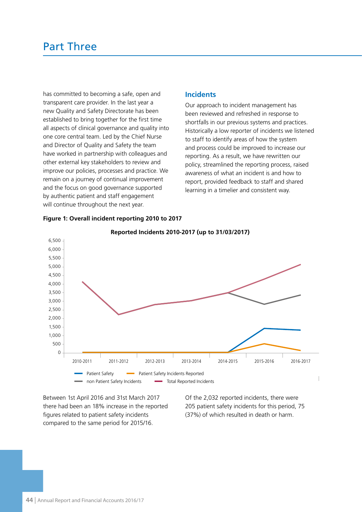has committed to becoming a safe, open and transparent care provider. In the last year a new Quality and Safety Directorate has been established to bring together for the first time all aspects of clinical governance and quality into one core central team. Led by the Chief Nurse and Director of Quality and Safety the team have worked in partnership with colleagues and other external key stakeholders to review and improve our policies, processes and practice. We remain on a journey of continual improvement and the focus on good governance supported by authentic patient and staff engagement will continue throughout the next year.

### **Incidents**

Our approach to incident management has been reviewed and refreshed in response to shortfalls in our previous systems and practices. Historically a low reporter of incidents we listened to staff to identify areas of how the system and process could be improved to increase our reporting. As a result, we have rewritten our policy, streamlined the reporting process, raised awareness of what an incident is and how to report, provided feedback to staff and shared learning in a timelier and consistent way.



### **Figure 1: Overall incident reporting 2010 to 2017**

Between 1st April 2016 and 31st March 2017 there had been an 18% increase in the reported figures related to patient safety incidents compared to the same period for 2015/16.

### **44** | Annual Report and Financial Accounts 2016/17

Of the 2,032 reported incidents, there were 205 patient safety incidents for this period, 75 (37%) of which resulted in death or harm.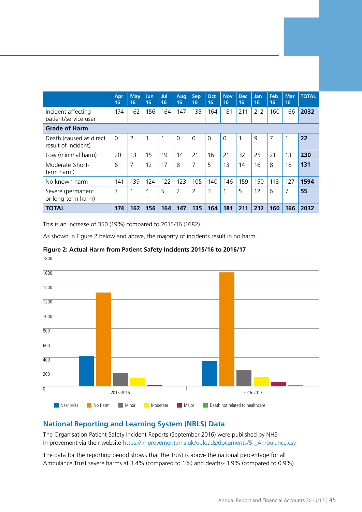|                                                | Apr<br>16      | <b>May</b><br>16 | <b>Jun</b><br>16 | Jul<br>16 | Aug<br>16      | Sep<br>16 | Oct<br>16      | <b>Nov</b><br>16 | Dec.<br>16 | Jan<br>16 | Feb<br>16 | <b>Mar</b><br>16 | <b>TOTAL</b> |
|------------------------------------------------|----------------|------------------|------------------|-----------|----------------|-----------|----------------|------------------|------------|-----------|-----------|------------------|--------------|
| Incident affecting<br>patient/service user     | 174            | 162              | 156              | 164       | 147            | 135       | 164            | 181              | 211        | 212       | 160       | 166              | 2032         |
| <b>Grade of Harm</b>                           |                |                  |                  |           |                |           |                |                  |            |           |           |                  |              |
| Death (caused as direct<br>result of incident) | $\overline{0}$ | $\overline{2}$   | 1                | 1         | $\overline{0}$ | $\Omega$  | $\overline{0}$ | $\overline{0}$   |            | 9         | 7         | 1                | 22           |
| Low (minimal harm)                             | 20             | 13               | 15               | 19        | 14             | 21        | 16             | 21               | 32         | 25        | 21        | 13               | 230          |
| Moderate (short-<br>term harm)                 | 6              | 7                | 12               | 17        | 8              | 7         | 5              | 13               | 14         | 16        | 8         | 18               | 131          |
| No known harm                                  | 141            | 139              | 124              | 122       | 123            | 105       | 140            | 146              | 159        | 150       | 118       | 127              | 1594         |
| Severe (permanent<br>or long-term harm)        | 7              | 1                | 4                | 5         | $\overline{2}$ | 2         | 3              | 1                | 5          | 12        | 6         | 7                | 55           |
| <b>TOTAL</b>                                   | 174            | 162              | 156              | 164       | 147            | 135       | 164            | 181              | 211        | 212       | 160       | 166              | 2032         |

This is an increase of 350 (19%) compared to 2015/16 (1682).

As shown in Figure 2 below and above, the majority of incidents result in no harm.



**Figure 2: Actual Harm from Patient Safety Incidents 2015/16 to 2016/17**

# **National Reporting and Learning System (NRLS) Data**

The Organisation Patient Safety Incident Reports (September 2016) were published by NHS Improvement via their website https://improvement.nhs.uk/uploads/documents/5.\_Ambulance.csv

The data for the reporting period shows that the Trust is above the national percentage for all Ambulance Trust severe harms at 3.4% (compared to 1%) and deaths- 1.9% (compared to 0.9%).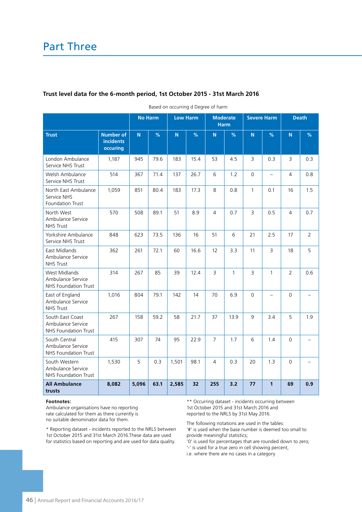# Part Three

#### **Trust level data for the 6-month period, 1st October 2015 - 31st March 2016**

| Based on occurring d Degree of harm |  |  |
|-------------------------------------|--|--|
|-------------------------------------|--|--|

|                                                                      |                                                  | <b>No Harm</b> |      |       | <b>Low Harm</b> |                | <b>Moderate</b><br><b>Harm</b> |              | <b>Severe Harm</b>       |                     | <b>Death</b>   |
|----------------------------------------------------------------------|--------------------------------------------------|----------------|------|-------|-----------------|----------------|--------------------------------|--------------|--------------------------|---------------------|----------------|
| <b>Trust</b>                                                         | <b>Number of</b><br><b>incidents</b><br>occuring | N              | %    | N.    | $\frac{9}{6}$   | N              | %                              | N            | %                        | N                   | %              |
| London Ambulance<br>Service NHS Trust                                | 1,187                                            | 945            | 79.6 | 183   | 15.4            | 53             | 4.5                            | 3            | 0.3                      | 3                   | 0.3            |
| Welsh Ambulance<br>Service NHS Trust                                 | 514                                              | 367            | 71.4 | 137   | 26.7            | 6              | 1.2                            | $\mathbf 0$  | $\overline{\phantom{0}}$ | 4                   | 0.8            |
| North East Ambulance<br>Service NHS<br><b>Foundation Trust</b>       | 1,059                                            | 851            | 80.4 | 183   | 17.3            | 8              | 0.8                            | $\mathbf{1}$ | 0.1                      | 16                  | 1.5            |
| North West<br>Ambulance Service<br><b>NHS Trust</b>                  | 570                                              | 508            | 89.1 | 51    | 8.9             | $\overline{4}$ | 0.7                            | 3            | 0.5                      | 4                   | 0.7            |
| Yorkshire Ambulance<br>Service NHS Trust                             | 848                                              | 623            | 73.5 | 136   | 16              | 51             | 6                              | 21           | 2.5                      | 17                  | $\overline{2}$ |
| East Midlands<br>Ambulance Service<br><b>NHS Trust</b>               | 362                                              | 261            | 72.1 | 60    | 16.6            | 12             | 3.3                            | 11           | 3                        | 18                  | 5              |
| West Midlands<br>Ambulance Service<br>NHS Foundation Trust           | 314                                              | 267            | 85   | 39    | 12.4            | 3              | $\mathbf{1}$                   | 3            | $\mathbf{1}$             | $\overline{2}$      | 0.6            |
| East of England<br>Ambulance Service<br>NHS Trust                    | 1,016                                            | 804            | 79.1 | 142   | 14              | 70             | 6.9                            | $\mathbf 0$  |                          | $\Omega$            |                |
| South East Coast<br>Ambulance Service<br><b>NHS Foundation Trust</b> | 267                                              | 158            | 59.2 | 58    | 21.7            | 37             | 13.9                           | 9            | 3.4                      | 5                   | 1.9            |
| South Central<br>Ambulance Service<br><b>NHS Foundation Trust</b>    | 415                                              | 307            | 74   | 95    | 22.9            | $\overline{7}$ | 1.7                            | 6            | 1.4                      | $\Omega$            |                |
| South Western<br>Ambulance Service<br>NHS Foundation Trust           | 1,530                                            | 5              | 0.3  | 1,501 | 98.1            | $\overline{4}$ | 0.3                            | 20           | 1.3                      | $\mathsf{O}\xspace$ |                |
| <b>All Ambulance</b><br>trusts                                       | 8,082                                            | 5,096          | 63.1 | 2,585 | 32              | 255            | 3.2                            | 77           | $\mathbf{1}$             | 69                  | 0.9            |

#### **Footnotes:**

Ambulance organisations have no reporting rate calculated for them as there currently is no suitable denominator data for them.

\* Reporting dataset - incidents reported to the NRLS between 1st October 2015 and 31st March 2016.These data are used for statistics based on reporting and are used for data quality.

\*\* Occurring dataset - incidents occurring between 1st October 2015 and 31st March 2016 and reported to the NRLS by 31st May 2016.

The following notations are used in the tables: '#' is used when the base number is deemed too small to provide meaningful statistics;

'0' is used for percentages that are rounded down to zero; '-' is used for a true zero in cell showing percent, i.e. where there are no cases in a category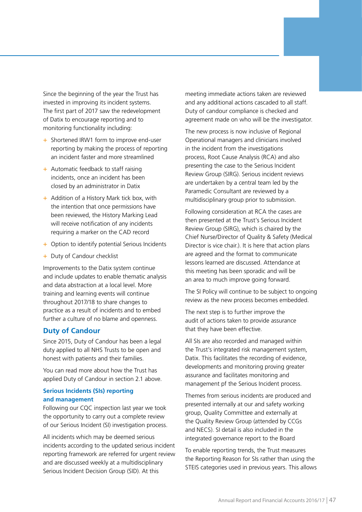Since the beginning of the year the Trust has invested in improving its incident systems. The first part of 2017 saw the redevelopment of Datix to encourage reporting and to monitoring functionality including:

- + Shortened IRW1 form to improve end-user reporting by making the process of reporting an incident faster and more streamlined
- $+$  Automatic feedback to staff raising incidents, once an incident has been closed by an administrator in Datix
- + Addition of a History Mark tick box, with the intention that once permissions have been reviewed, the History Marking Lead will receive notification of any incidents requiring a marker on the CAD record
- + Option to identify potential Serious Incidents
- + Duty of Candour checklist

Improvements to the Datix system continue and include updates to enable thematic analysis and data abstraction at a local level. More training and learning events will continue throughout 2017/18 to share changes to practice as a result of incidents and to embed further a culture of no blame and openness.

### **Duty of Candour**

Since 2015, Duty of Candour has been a legal duty applied to all NHS Trusts to be open and honest with patients and their families.

You can read more about how the Trust has applied Duty of Candour in section 2.1 above.

### **Serious Incidents (SIs) reporting and management**

Following our CQC inspection last year we took the opportunity to carry out a complete review of our Serious Incident (SI) investigation process.

All incidents which may be deemed serious incidents according to the updated serious incident reporting framework are referred for urgent review and are discussed weekly at a multidisciplinary Serious Incident Decision Group (SID). At this

meeting immediate actions taken are reviewed and any additional actions cascaded to all staff. Duty of candour compliance is checked and agreement made on who will be the investigator.

The new process is now inclusive of Regional Operational managers and clinicians involved in the incident from the investigations process, Root Cause Analysis (RCA) and also presenting the case to the Serious Incident Review Group (SIRG). Serious incident reviews are undertaken by a central team led by the Paramedic Consultant are reviewed by a multidisciplinary group prior to submission.

Following consideration at RCA the cases are then presented at the Trust's Serious Incident Review Group (SIRG), which is chaired by the Chief Nurse/Director of Quality & Safety (Medical Director is vice chair.). It is here that action plans are agreed and the format to communicate lessons learned are discussed. Attendance at this meeting has been sporadic and will be an area to much improve going forward.

The SI Policy will continue to be subject to ongoing review as the new process becomes embedded.

The next step is to further improve the audit of actions taken to provide assurance that they have been effective.

All SIs are also recorded and managed within the Trust's integrated risk management system, Datix. This facilitates the recording of evidence, developments and monitoring proving greater assurance and facilitates monitoring and management pf the Serious Incident process.

Themes from serious incidents are produced and presented internally at our and safety working group, Quality Committee and externally at the Quality Review Group (attended by CCGs and NECS). SI detail is also included in the integrated governance report to the Board

To enable reporting trends, the Trust measures the Reporting Reason for SIs rather than using the STEIS categories used in previous years. This allows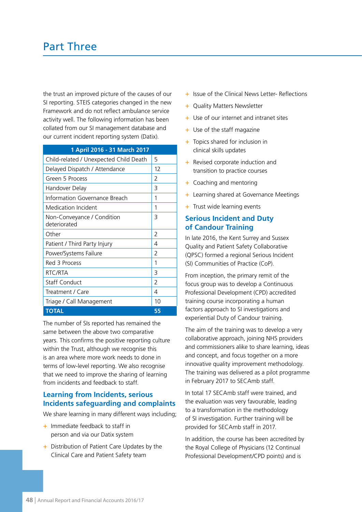# Part Three

the trust an improved picture of the causes of our SI reporting. STEIS categories changed in the new Framework and do not reflect ambulance service activity well. The following information has been collated from our SI management database and our current incident reporting system (Datix).

| 1 April 2016 - 31 March 2017               |                |
|--------------------------------------------|----------------|
| Child-related / Unexpected Child Death     | 5              |
| Delayed Dispatch / Attendance              | 12             |
| Green 5 Process                            | 2              |
| Handover Delay                             | 3              |
| Information Governance Breach              | 1              |
| <b>Medication Incident</b>                 | 1              |
| Non-Conveyance / Condition<br>deteriorated | 3              |
| Other                                      | 2              |
| Patient / Third Party Injury               | 4              |
| Power/Systems Failure                      | 2              |
| Red 3 Process                              | 1              |
| RTC/RTA                                    | 3              |
| <b>Staff Conduct</b>                       | $\mathfrak{D}$ |
| Treatment / Care                           | 4              |
| Triage / Call Management                   | 10             |
| <b>TOTAL</b>                               | 55             |

The number of SIs reported has remained the same between the above two comparative years. This confirms the positive reporting culture within the Trust, although we recognise this is an area where more work needs to done in terms of low-level reporting. We also recognise that we need to improve the sharing of learning from incidents and feedback to staff.

### **Learning from Incidents, serious Incidents safeguarding and complaints**

We share learning in many different ways including;

- $+$  Immediate feedback to staff in person and via our Datix system
- + Distribution of Patient Care Updates by the Clinical Care and Patient Safety team
- $+$  Issue of the Clinical News Letter- Reflections
- + Quality Matters Newsletter
- + Use of our internet and intranet sites
- + Use of the staff magazine
- + Topics shared for inclusion in clinical skills updates
- + Revised corporate induction and transition to practice courses
- + Coaching and mentoring
- + Learning shared at Governance Meetings
- + Trust wide learning events

### **Serious Incident and Duty of Candour Training**

In late 2016, the Kent Surrey and Sussex Quality and Patient Safety Collaborative (QPSC) formed a regional Serious Incident (SI) Communities of Practice (CoP).

From inception, the primary remit of the focus group was to develop a Continuous Professional Development (CPD) accredited training course incorporating a human factors approach to SI investigations and experiential Duty of Candour training.

The aim of the training was to develop a very collaborative approach, joining NHS providers and commissioners alike to share learning, ideas and concept, and focus together on a more innovative quality improvement methodology. The training was delivered as a pilot programme in February 2017 to SECAmb staff.

In total 17 SECAmb staff were trained, and the evaluation was very favourable, leading to a transformation in the methodology of SI investigation. Further training will be provided for SECAmb staff in 2017.

In addition, the course has been accredited by the Royal College of Physicians (12 Continual Professional Development/CPD points) and is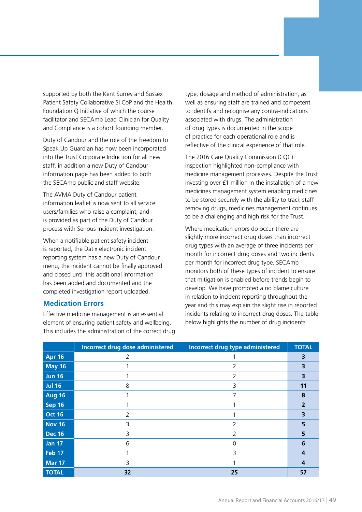supported by both the Kent Surrey and Sussex Patient Safety Collaborative SI CoP and the Health Foundation Q Initiative of which the course facilitator and SECAmb Lead Clinician for Quality and Compliance is a cohort founding member.

Duty of Candour and the role of the Freedom to Speak Up Guardian has now been incorporated into the Trust Corporate Induction for all new staff, in addition a new Duty of Candour information page has been added to both the SECAmb public and staff website.

The AVMA Duty of Candour patient information leaflet is now sent to all service users/families who raise a complaint, and is provided as part of the Duty of Candour process with Serious Incident investigation.

When a notifiable patient safety incident is reported, the Datix electronic incident reporting system has a new Duty of Candour menu, the incident cannot be finally approved and closed until this additional information has been added and documented and the completed investigation report uploaded.

### **Medication Errors**

Effective medicine management is an essential element of ensuring patient safety and wellbeing. This includes the administration of the correct drug type, dosage and method of administration, as well as ensuring staff are trained and competent to identify and recognise any contra-indications associated with drugs. The administration of drug types is documented in the scope of practice for each operational role and is reflective of the clinical experience of that role.

The 2016 Care Quality Commission (CQC) inspection highlighted non-compliance with medicine management processes. Despite the Trust investing over £1 million in the installation of a new medicines management system enabling medicines to be stored securely with the ability to track staff removing drugs, medicines management continues to be a challenging and high risk for the Trust.

Where medication errors do occur there are slightly more incorrect drug doses than incorrect drug types with an average of three incidents per month for incorrect drug doses and two incidents per month for incorrect drug type. SECAmb monitors both of these types of incident to ensure that mitigation is enabled before trends begin to develop. We have promoted a no blame culture in relation to incident reporting throughout the year and this may explain the slight rise in reported incidents relating to incorrect drug doses. The table below highlights the number of drug incidents

|               | <b>Incorrect drug dose administered</b> | <b>Incorrect drug type administered</b> | <b>TOTAL</b>   |
|---------------|-----------------------------------------|-----------------------------------------|----------------|
| <b>Apr 16</b> | 2                                       |                                         | 3              |
| <b>May 16</b> |                                         |                                         | 3              |
| <b>Jun 16</b> |                                         |                                         | 3              |
| <b>Jul 16</b> | 8                                       | 3                                       | 11             |
| <b>Aug 16</b> |                                         |                                         | 8              |
| <b>Sep 16</b> |                                         |                                         | $\overline{2}$ |
| <b>Oct 16</b> | 2                                       |                                         | 3              |
| <b>Nov 16</b> | 3                                       | 2                                       | 5              |
| <b>Dec 16</b> | 3                                       |                                         | 5              |
| <b>Jan 17</b> | 6                                       |                                         | 6              |
| Feb 17        |                                         | 3                                       | 4              |
| Mar 17        | 3                                       |                                         | 4              |
| <b>TOTAL</b>  | 32                                      | 25                                      | 57             |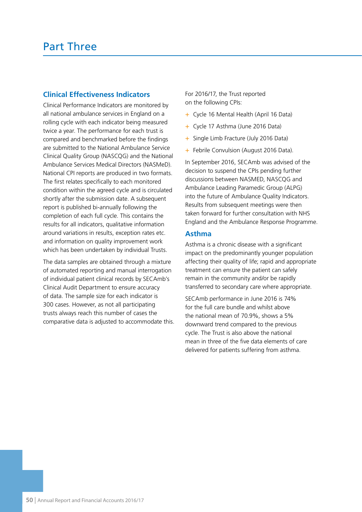# **Clinical Effectiveness Indicators**

Clinical Performance Indicators are monitored by all national ambulance services in England on a rolling cycle with each indicator being measured twice a year. The performance for each trust is compared and benchmarked before the findings are submitted to the National Ambulance Service Clinical Quality Group (NASCQG) and the National Ambulance Services Medical Directors (NASMeD). National CPI reports are produced in two formats. The first relates specifically to each monitored condition within the agreed cycle and is circulated shortly after the submission date. A subsequent report is published bi-annually following the completion of each full cycle. This contains the results for all indicators, qualitative information around variations in results, exception rates etc. and information on quality improvement work which has been undertaken by individual Trusts.

The data samples are obtained through a mixture of automated reporting and manual interrogation of individual patient clinical records by SECAmb's Clinical Audit Department to ensure accuracy of data. The sample size for each indicator is 300 cases. However, as not all participating trusts always reach this number of cases the comparative data is adjusted to accommodate this. For 2016/17, the Trust reported on the following CPIs:

- + Cycle 16 Mental Health (April 16 Data)
- + Cycle 17 Asthma (June 2016 Data)
- + Single Limb Fracture (July 2016 Data)
- + Febrile Convulsion (August 2016 Data).

In September 2016, SECAmb was advised of the decision to suspend the CPIs pending further discussions between NASMED, NASCQG and Ambulance Leading Paramedic Group (ALPG) into the future of Ambulance Quality Indicators. Results from subsequent meetings were then taken forward for further consultation with NHS England and the Ambulance Response Programme.

### **Asthma**

Asthma is a chronic disease with a significant impact on the predominantly younger population affecting their quality of life; rapid and appropriate treatment can ensure the patient can safely remain in the community and/or be rapidly transferred to secondary care where appropriate.

SECAmb performance in June 2016 is 74% for the full care bundle and whilst above the national mean of 70.9%, shows a 5% downward trend compared to the previous cycle. The Trust is also above the national mean in three of the five data elements of care delivered for patients suffering from asthma.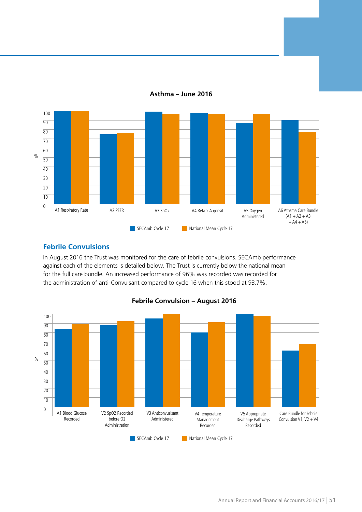

### **Asthma – June 2016**

# **Febrile Convulsions**

In August 2016 the Trust was monitored for the care of febrile convulsions. SECAmb performance against each of the elements is detailed below. The Trust is currently below the national mean for the full care bundle. An increased performance of 96% was recorded was recorded for the administration of anti-Convulsant compared to cycle 16 when this stood at 93.7%.



### **Febrile Convulsion – August 2016**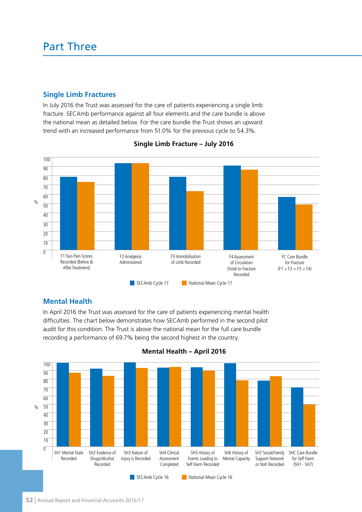# Part Three

# **Single Limb Fractures**

In July 2016 the Trust was assessed for the care of patients experiencing a single limb fracture. SECAmb performance against all four elements and the care bundle is above the national mean as detailed below. For the care bundle the Trust shows an upward trend with an increased performance from 51.0% for the previous cycle to 54.3%.



### **Single Limb Fracture – July 2016**

# **Mental Health**

In April 2016 the Trust was assessed for the care of patients experiencing mental health difficulties. The chart below demonstrates how SECAmb performed in the second pilot audit for this condition. The Trust is above the national mean for the full care bundle recording a performance of 69.7% being the second highest in the country.



### **Mental Health – April 2016**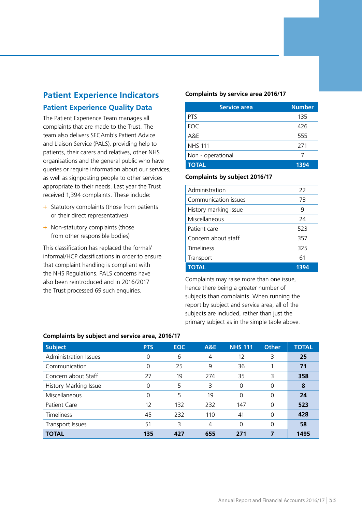# **Patient Experience Indicators Patient Experience Quality Data**

The Patient Experience Team manages all complaints that are made to the Trust. The team also delivers SECAmb's Patient Advice and Liaison Service (PALS), providing help to patients, their carers and relatives, other NHS organisations and the general public who have queries or require information about our services, as well as signposting people to other services appropriate to their needs. Last year the Trust received 1,394 complaints. These include:

- + Statutory complaints (those from patients or their direct representatives)
- + Non-statutory complaints (those from other responsible bodies)

This classification has replaced the formal/ informal/HCP classifications in order to ensure that complaint handling is compliant with the NHS Regulations. PALS concerns have also been reintroduced and in 2016/2017 the Trust processed 69 such enquiries.

### **Complaints by service area 2016/17**

| <b>Service area</b> | <b>Number</b> |
|---------------------|---------------|
| <b>PTS</b>          | 135           |
| EOC                 | 426           |
| A&E                 | 555           |
| <b>NHS 111</b>      | 271           |
| Non - operational   | 7             |
| <b>TOTAL</b>        | 1394          |

### **Complaints by subject 2016/17**

| <b>TOTAL</b>          | 1394 |
|-----------------------|------|
| Transport             | 61   |
| Timeliness            | 325  |
| Concern about staff   | 357  |
| Patient care          | 523  |
| Miscellaneous         | 24   |
| History marking issue | 9    |
| Communication issues  | 73   |
| Administration        | 22   |
|                       |      |

Complaints may raise more than one issue, hence there being a greater number of subjects than complaints. When running the report by subject and service area, all of the subjects are included, rather than just the primary subject as in the simple table above.

| <b>Subject</b>               | <b>PTS</b>        | <b>EOC</b> | <b>A&amp;E</b> | <b>NHS 111</b> | <b>Other</b> | <b>TOTAL</b> |
|------------------------------|-------------------|------------|----------------|----------------|--------------|--------------|
| <b>Administration Issues</b> | 0                 | 6          | 4              | 12             | 3            | 25           |
| Communication                | 0                 | 25         | 9              | 36             |              | 71           |
| Concern about Staff          | 27                | 19         | 274            | 35             | 3            | 358          |
| <b>History Marking Issue</b> | 0                 | 5          | 3              | 0              | 0            | 8            |
| Miscellaneous                | 0                 | 5          | 19             | $\Omega$       | 0            | 24           |
| Patient Care                 | $12 \overline{ }$ | 132        | 232            | 147            | $\Omega$     | 523          |
| <b>Timeliness</b>            | 45                | 232        | 110            | 41             | $\Omega$     | 428          |
| Transport Issues             | 51                | 3          | 4              | $\Omega$       | 0            | 58           |
| <b>TOTAL</b>                 | 135               | 427        | 655            | 271            |              | 1495         |

#### **Complaints by subject and service area, 2016/17**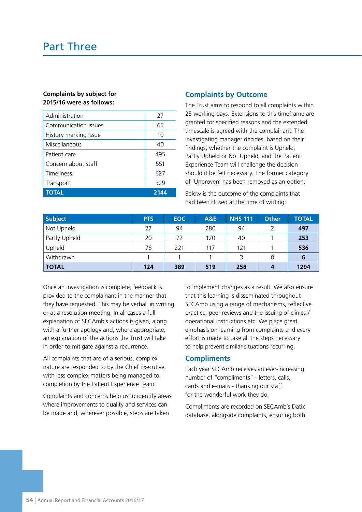### **Complaints by subject for 2015/16 were as follows:**

| Administration        | 27   |
|-----------------------|------|
| Communication issues  | 65   |
| History marking issue | 10   |
| Miscellaneous         | 40   |
| Patient care          | 495  |
| Concern about staff   | 551  |
| Timeliness            | 627  |
| Transport             | 329  |
| <b>TOTAL</b>          | 2144 |

### **Complaints by Outcome**

The Trust aims to respond to all complaints within 25 working days. Extensions to this timeframe are granted for specified reasons and the extended timescale is agreed with the complainant. The investigating manager decides, based on their findings, whether the complaint is Upheld, Partly Upheld or Not Upheld, and the Patient Experience Team will challenge the decision should it be felt necessary. The former category of 'Unproven' has been removed as an option.

Below is the outcome of the complaints that had been closed at the time of writing:

| <b>Subject</b> | <b>PTS</b> | <b>EOC</b> | A&E | <b>NHS 111</b> | <b>Other</b> | <b>TOTAL</b> |
|----------------|------------|------------|-----|----------------|--------------|--------------|
| Not Upheld     | 27         | 94         | 280 | 94             |              | 497          |
| Partly Upheld  | 20         | 72         | 120 | 40             |              | 253          |
| Upheld         | 76         | 221        | 117 | 121            |              | 536          |
| Withdrawn      |            |            |     |                | 0            | 6            |
| <b>TOTAL</b>   | 124        | 389        | 519 | 258            | 4            | 1294         |

Once an investigation is complete, feedback is provided to the complainant in the manner that they have requested. This may be verbal, in writing or at a resolution meeting. In all cases a full explanation of SECAmb's actions is given, along with a further apology and, where appropriate, an explanation of the actions the Trust will take in order to mitigate against a recurrence.

All complaints that are of a serious, complex nature are responded to by the Chief Executive, with less complex matters being managed to completion by the Patient Experience Team.

Complaints and concerns help us to identify areas where improvements to quality and services can be made and, wherever possible, steps are taken

to implement changes as a result. We also ensure that this learning is disseminated throughout SECAmb using a range of mechanisms, reflective practice, peer reviews and the issuing of clinical/ operational instructions etc. We place great emphasis on learning from complaints and every effort is made to take all the steps necessary to help prevent similar situations recurring.

### **Compliments**

Each year SECAmb receives an ever-increasing number of "compliments" - letters, calls, cards and e-mails - thanking our staff for the wonderful work they do.

Compliments are recorded on SECAmb's Datix database, alongside complaints, ensuring both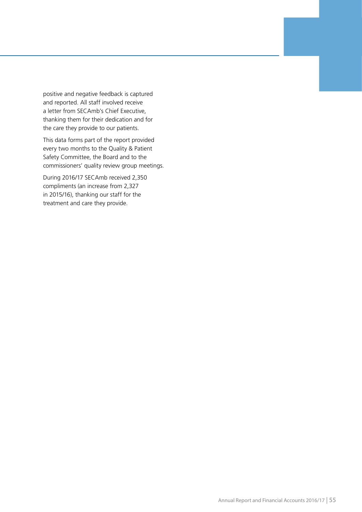positive and negative feedback is captured and reported. All staff involved receive a letter from SECAmb's Chief Executive, thanking them for their dedication and for the care they provide to our patients.

This data forms part of the report provided every two months to the Quality & Patient Safety Committee, the Board and to the commissioners' quality review group meetings.

During 2016/17 SECAmb received 2,350 compliments (an increase from 2,327 in 2015/16), thanking our staff for the treatment and care they provide.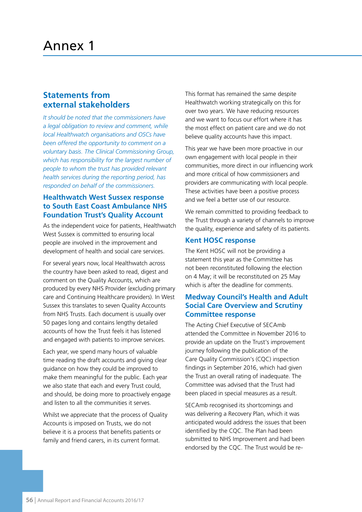# **Statements from external stakeholders**

*It should be noted that the commissioners have a legal obligation to review and comment, while local Healthwatch organisations and OSCs have been offered the opportunity to comment on a voluntary basis. The Clinical Commissioning Group, which has responsibility for the largest number of people to whom the trust has provided relevant health services during the reporting period, has responded on behalf of the commissioners.*

# **Healthwatch West Sussex response to South East Coast Ambulance NHS Foundation Trust's Quality Account**

As the independent voice for patients, Healthwatch West Sussex is committed to ensuring local people are involved in the improvement and development of health and social care services.

For several years now, local Healthwatch across the country have been asked to read, digest and comment on the Quality Accounts, which are produced by every NHS Provider (excluding primary care and Continuing Healthcare providers). In West Sussex this translates to seven Quality Accounts from NHS Trusts. Each document is usually over 50 pages long and contains lengthy detailed accounts of how the Trust feels it has listened and engaged with patients to improve services.

Each year, we spend many hours of valuable time reading the draft accounts and giving clear guidance on how they could be improved to make them meaningful for the public. Each year we also state that each and every Trust could, and should, be doing more to proactively engage and listen to all the communities it serves.

Whilst we appreciate that the process of Quality Accounts is imposed on Trusts, we do not believe it is a process that benefits patients or family and friend carers, in its current format.

This format has remained the same despite Healthwatch working strategically on this for over two years. We have reducing resources and we want to focus our effort where it has the most effect on patient care and we do not believe quality accounts have this impact.

This year we have been more proactive in our own engagement with local people in their communities, more direct in our influencing work and more critical of how commissioners and providers are communicating with local people. These activities have been a positive process and we feel a better use of our resource.

We remain committed to providing feedback to the Trust through a variety of channels to improve the quality, experience and safety of its patients.

### **Kent HOSC response**

The Kent HOSC will not be providing a statement this year as the Committee has not been reconstituted following the election on 4 May; it will be reconstituted on 25 May which is after the deadline for comments.

# **Medway Council's Health and Adult Social Care Overview and Scrutiny Committee response**

The Acting Chief Executive of SECAmb attended the Committee in November 2016 to provide an update on the Trust's improvement journey following the publication of the Care Quality Commission's (CQC) inspection findings in September 2016, which had given the Trust an overall rating of inadequate. The Committee was advised that the Trust had been placed in special measures as a result.

SECAmb recognised its shortcomings and was delivering a Recovery Plan, which it was anticipated would address the issues that been identified by the CQC. The Plan had been submitted to NHS Improvement and had been endorsed by the CQC. The Trust would be re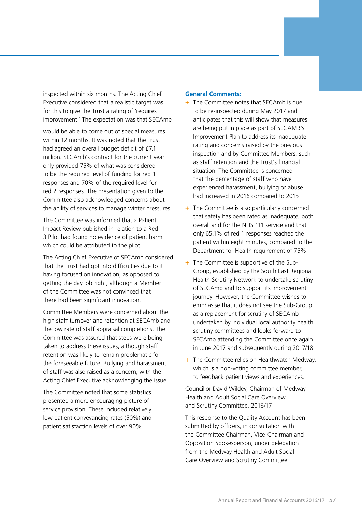inspected within six months. The Acting Chief Executive considered that a realistic target was for this to give the Trust a rating of 'requires improvement.' The expectation was that SECAmb

would be able to come out of special measures within 12 months. It was noted that the Trust had agreed an overall budget deficit of £7.1 million. SECAmb's contract for the current year only provided 75% of what was considered to be the required level of funding for red 1 responses and 70% of the required level for red 2 responses. The presentation given to the Committee also acknowledged concerns about the ability of services to manage winter pressures.

The Committee was informed that a Patient Impact Review published in relation to a Red 3 Pilot had found no evidence of patient harm which could be attributed to the pilot.

The Acting Chief Executive of SECAmb considered that the Trust had got into difficulties due to it having focused on innovation, as opposed to getting the day job right, although a Member of the Committee was not convinced that there had been significant innovation.

Committee Members were concerned about the high staff turnover and retention at SECAmb and the low rate of staff appraisal completions. The Committee was assured that steps were being taken to address these issues, although staff retention was likely to remain problematic for the foreseeable future. Bullying and harassment of staff was also raised as a concern, with the Acting Chief Executive acknowledging the issue.

The Committee noted that some statistics presented a more encouraging picture of service provision. These included relatively low patient conveyancing rates (50%) and patient satisfaction levels of over 90%

#### **General Comments:**

- $+$  The Committee notes that SECAmb is due to be re-inspected during May 2017 and anticipates that this will show that measures are being put in place as part of SECAMB's Improvement Plan to address its inadequate rating and concerns raised by the previous inspection and by Committee Members, such as staff retention and the Trust's financial situation. The Committee is concerned that the percentage of staff who have experienced harassment, bullying or abuse had increased in 2016 compared to 2015
- + The Committee is also particularly concerned that safety has been rated as inadequate, both overall and for the NHS 111 service and that only 65.1% of red 1 responses reached the patient within eight minutes, compared to the Department for Health requirement of 75%
- + The Committee is supportive of the Sub-Group, established by the South East Regional Health Scrutiny Network to undertake scrutiny of SECAmb and to support its improvement journey. However, the Committee wishes to emphasise that it does not see the Sub-Group as a replacement for scrutiny of SECAmb undertaken by individual local authority health scrutiny committees and looks forward to SECAmb attending the Committee once again in June 2017 and subsequently during 2017/18
- + The Committee relies on Healthwatch Medway, which is a non-voting committee member, to feedback patient views and experiences.

Councillor David Wildey, Chairman of Medway Health and Adult Social Care Overview and Scrutiny Committee, 2016/17

This response to the Quality Account has been submitted by officers, in consultation with the Committee Chairman, Vice-Chairman and Opposition Spokesperson, under delegation from the Medway Health and Adult Social Care Overview and Scrutiny Committee.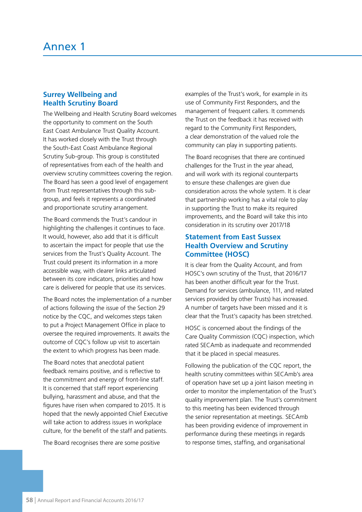### **Surrey Wellbeing and Health Scrutiny Board**

The Wellbeing and Health Scrutiny Board welcomes the opportunity to comment on the South East Coast Ambulance Trust Quality Account. It has worked closely with the Trust through the South-East Coast Ambulance Regional Scrutiny Sub-group. This group is constituted of representatives from each of the health and overview scrutiny committees covering the region. The Board has seen a good level of engagement from Trust representatives through this subgroup, and feels it represents a coordinated and proportionate scrutiny arrangement.

The Board commends the Trust's candour in highlighting the challenges it continues to face. It would, however, also add that it is difficult to ascertain the impact for people that use the services from the Trust's Quality Account. The Trust could present its information in a more accessible way, with clearer links articulated between its core indicators, priorities and how care is delivered for people that use its services.

The Board notes the implementation of a number of actions following the issue of the Section 29 notice by the CQC, and welcomes steps taken to put a Project Management Office in place to oversee the required improvements. It awaits the outcome of CQC's follow up visit to ascertain the extent to which progress has been made.

The Board notes that anecdotal patient feedback remains positive, and is reflective to the commitment and energy of front-line staff. It is concerned that staff report experiencing bullying, harassment and abuse, and that the figures have risen when compared to 2015. It is hoped that the newly appointed Chief Executive will take action to address issues in workplace culture, for the benefit of the staff and patients.

The Board recognises there are some positive

examples of the Trust's work, for example in its use of Community First Responders, and the management of frequent callers. It commends the Trust on the feedback it has received with regard to the Community First Responders, a clear demonstration of the valued role the community can play in supporting patients.

The Board recognises that there are continued challenges for the Trust in the year ahead, and will work with its regional counterparts to ensure these challenges are given due consideration across the whole system. It is clear that partnership working has a vital role to play in supporting the Trust to make its required improvements, and the Board will take this into consideration in its scrutiny over 2017/18

### **Statement from East Sussex Health Overview and Scrutiny Committee (HOSC)**

It is clear from the Quality Account, and from HOSC's own scrutiny of the Trust, that 2016/17 has been another difficult year for the Trust. Demand for services (ambulance, 111, and related services provided by other Trusts) has increased. A number of targets have been missed and it is clear that the Trust's capacity has been stretched.

HOSC is concerned about the findings of the Care Quality Commission (CQC) inspection, which rated SECAmb as inadequate and recommended that it be placed in special measures.

Following the publication of the CQC report, the health scrutiny committees within SECAmb's area of operation have set up a joint liaison meeting in order to monitor the implementation of the Trust's quality improvement plan. The Trust's commitment to this meeting has been evidenced through the senior representation at meetings. SECAmb has been providing evidence of improvement in performance during these meetings in regards to response times, staffing, and organisational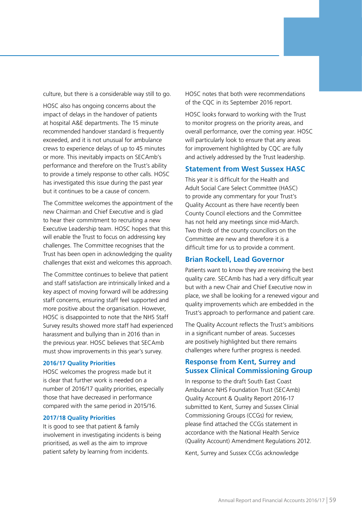culture, but there is a considerable way still to go.

HOSC also has ongoing concerns about the impact of delays in the handover of patients at hospital A&E departments. The 15 minute recommended handover standard is frequently exceeded, and it is not unusual for ambulance crews to experience delays of up to 45 minutes or more. This inevitably impacts on SECAmb's performance and therefore on the Trust's ability to provide a timely response to other calls. HOSC has investigated this issue during the past year but it continues to be a cause of concern.

The Committee welcomes the appointment of the new Chairman and Chief Executive and is glad to hear their commitment to recruiting a new Executive Leadership team. HOSC hopes that this will enable the Trust to focus on addressing key challenges. The Committee recognises that the Trust has been open in acknowledging the quality challenges that exist and welcomes this approach.

The Committee continues to believe that patient and staff satisfaction are intrinsically linked and a key aspect of moving forward will be addressing staff concerns, ensuring staff feel supported and more positive about the organisation. However, HOSC is disappointed to note that the NHS Staff Survey results showed more staff had experienced harassment and bullying than in 2016 than in the previous year. HOSC believes that SECAmb must show improvements in this year's survey.

#### **2016/17 Quality Priorities**

HOSC welcomes the progress made but it is clear that further work is needed on a number of 2016/17 quality priorities, especially those that have decreased in performance compared with the same period in 2015/16.

#### **2017/18 Quality Priorities**

It is good to see that patient & family involvement in investigating incidents is being prioritised, as well as the aim to improve patient safety by learning from incidents.

HOSC notes that both were recommendations of the CQC in its September 2016 report.

HOSC looks forward to working with the Trust to monitor progress on the priority areas, and overall performance, over the coming year. HOSC will particularly look to ensure that any areas for improvement highlighted by CQC are fully and actively addressed by the Trust leadership.

#### **Statement from West Sussex HASC**

This year it is difficult for the Health and Adult Social Care Select Committee (HASC) to provide any commentary for your Trust's Quality Account as there have recently been County Council elections and the Committee has not held any meetings since mid-March. Two thirds of the county councillors on the Committee are new and therefore it is a difficult time for us to provide a comment.

### **Brian Rockell, Lead Governor**

Patients want to know they are receiving the best quality care. SECAmb has had a very difficult year but with a new Chair and Chief Executive now in place, we shall be looking for a renewed vigour and quality improvements which are embedded in the Trust's approach to performance and patient care.

The Quality Account reflects the Trust's ambitions in a significant number of areas. Successes are positively highlighted but there remains challenges where further progress is needed.

# **Response from Kent, Surrey and Sussex Clinical Commissioning Group**

In response to the draft South East Coast Ambulance NHS Foundation Trust (SECAmb) Quality Account & Quality Report 2016-17 submitted to Kent, Surrey and Sussex Clinial Commissioning Groups (CCGs) for review, please find attached the CCGs statement in accordance with the National Health Service (Quality Account) Amendment Regulations 2012.

Kent, Surrey and Sussex CCGs acknowledge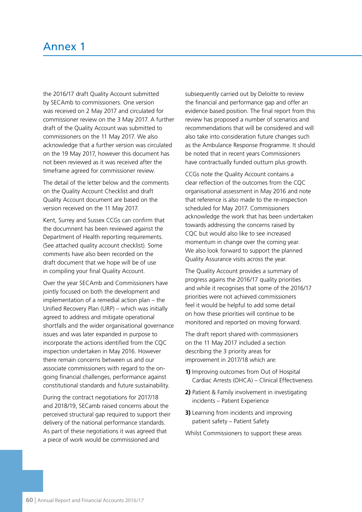the 2016/17 draft Quality Account submitted by SECAmb to commissioners. One version was received on 2 May 2017 and circulated for commissioner review on the 3 May 2017. A further draft of the Quality Account was submitted to commissioners on the 11 May 2017. We also acknowledge that a further version was circulated on the 19 May 2017, however this document has not been reviewed as it was received after the timeframe agreed for commissioner review.

The detail of the letter below and the comments on the Quality Account Checklist and draft Quality Account document are based on the version received on the 11 May 2017.

Kent, Surrey and Sussex CCGs can confirm that the documnent has been reviewed against the Department of Health reporting requirements. (See attached quality account checklist). Some comments have also been recorded on the draft document that we hope will be of use in compiling your final Quality Account.

Over the year SECAmb and Commissioners have jointly focused on both the development and implementation of a remedial action plan – the Unified Recovery Plan (URP) – which was initially agreed to address and mitigate operational shortfalls and the wider organisational governance issues and was later expanded in purpose to incorporate the actions identified from the CQC inspection undertaken in May 2016. However there remain concerns between us and our associate commissioners with regard to the ongoing financial challenges, performance against constitutional standards and future sustainability.

During the contract negotiations for 2017/18 and 2018/19, SECamb raised concerns about the perceived structural gap required to support their delivery of the national performance standards. As part of these negotiations it was agreed that a piece of work would be commissioned and

subsequently carried out by Deloitte to review the financial and performance gap and offer an evidence based position. The final report from this review has proposed a number of scenarios and recommendations that will be considered and will also take into consideration future changes such as the Ambulance Response Programme. It should be noted that in recent years Commissioners have contractually funded outturn plus growth.

CCGs note the Quality Account contains a clear reflection of the outcomes from the CQC organisational assessment in May 2016 and note that reference is also made to the re-inspection scheduled for May 2017. Commissioners acknowledge the work that has been undertaken towards addressing the concerns raised by CQC but would also like to see increased momentum in change over the coming year. We also look forward to support the planned Quality Assurance visits across the year.

The Quality Account provides a summary of progress agains the 2016/17 quality priorities and while it recognises that some of the 2016/17 priorities were not achieved commissioners feel it would be helpful to add some detail on how these priorities will continue to be monitored and reported on moving forward.

The draft report shared with commissioners on the 11 May 2017 included a section describing the 3 priority areas for improvement in 2017/18 which are:

- **1)** Improving outcomes from Out of Hospital Cardiac Arrests (OHCA) – Clinical Effectiveness
- **2)** Patient & Family involvement in investigating incidents – Patient Experience
- **3)** Learning from incidents and improving patient safety – Patient Safety

Whilst Commissioners to support these areas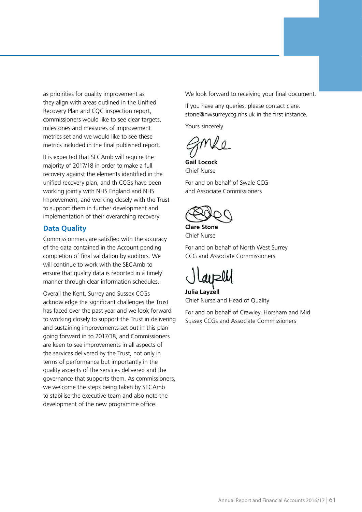as prioirities for quality improvement as they align with areas outlined in the Unified Recovery Plan and CQC inspection report, commissioners would like to see clear targets, milestones and measures of improvement metrics set and we would like to see these metrics included in the final published report.

It is expected that SECAmb will require the majority of 2017/18 in order to make a full recovery against the elements identified in the unified recovery plan, and th CCGs have been working jointly with NHS England and NHS Improvement, and working closely with the Trust to support them in further development and implementation of their overarching recovery.

# **Data Quality**

Commissionmers are satisfied with the accuracy of the data contained in the Account pending completion of final validation by auditors. We will continue to work with the SECAmb to ensure that quality data is reported in a timely manner through clear information schedules.

Overall the Kent, Surrey and Sussex CCGs acknowledge the significant challenges the Trust has faced over the past year and we look forward to working closely to support the Trust in delivering and sustaining improvements set out in this plan going forward in to 2017/18, and Commissioners are keen to see improvements in all aspects of the services delivered by the Trust, not only in terms of performance but importantly in the quality aspects of the services delivered and the governance that supports them. As commissioners, we welcome the steps being taken by SECAmb to stabilise the executive team and also note the development of the new programme office.

We look forward to receiving your final document.

If you have any queries, please contact clare. stone@nwsurreyccg.nhs.uk in the first instance.

Yours sincerely

**Gail Locock** Chief Nurse

For and on behalf of Swale CCG and Associate Commissioners



Chief Nurse

For and on behalf of North West Surrey CCG and Associate Commissioners

**Julia Layzell** Chief Nurse and Head of Quality

For and on behalf of Crawley, Horsham and Mid Sussex CCGs and Associate Commissioners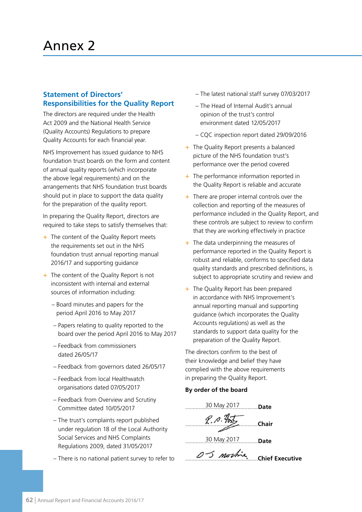# **Statement of Directors' Responsibilities for the Quality Report**

The directors are required under the Health Act 2009 and the National Health Service (Quality Accounts) Regulations to prepare Quality Accounts for each financial year.

NHS Improvement has issued guidance to NHS foundation trust boards on the form and content of annual quality reports (which incorporate the above legal requirements) and on the arrangements that NHS foundation trust boards should put in place to support the data quality for the preparation of the quality report.

In preparing the Quality Report, directors are required to take steps to satisfy themselves that:

- + The content of the Quality Report meets the requirements set out in the NHS foundation trust annual reporting manual 2016/17 and supporting guidance
- + The content of the Quality Report is not inconsistent with internal and external sources of information including:
	- Board minutes and papers for the period April 2016 to May 2017
	- Papers relating to quality reported to the board over the period April 2016 to May 2017
	- Feedback from commissioners dated 26/05/17
	- Feedback from governors dated 26/05/17
	- Feedback from local Healthwatch organisations dated 07/05/2017
	- Feedback from Overview and Scrutiny Committee dated 10/05/2017
	- The trust's complaints report published under regulation 18 of the Local Authority Social Services and NHS Complaints Regulations 2009, dated 31/05/2017
	- There is no national patient survey to refer to
- The latest national staff survey 07/03/2017
- The Head of Internal Audit's annual opinion of the trust's control environment dated 12/05/2017
- CQC inspection report dated 29/09/2016
- + The Quality Report presents a balanced picture of the NHS foundation trust's performance over the period covered
- + The performance information reported in the Quality Report is reliable and accurate
- $+$  There are proper internal controls over the collection and reporting of the measures of performance included in the Quality Report, and these controls are subject to review to confirm that they are working effectively in practice
- $+$  The data underpinning the measures of performance reported in the Quality Report is robust and reliable, conforms to specified data quality standards and prescribed definitions, is subject to appropriate scrutiny and review and
- + The Quality Report has been prepared in accordance with NHS Improvement's annual reporting manual and supporting guidance (which incorporates the Quality Accounts regulations) as well as the standards to support data quality for the preparation of the Quality Report.

The directors confirm to the best of their knowledge and belief they have complied with the above requirements in preparing the Quality Report.

### **By order of the board**

.................................................**Date** 30 May 2017  $R.A.\overline{75}$  Chair .................................................**Date** 30 May 2017

0<sup>-</sup>5 *Mortic*, Chief Executive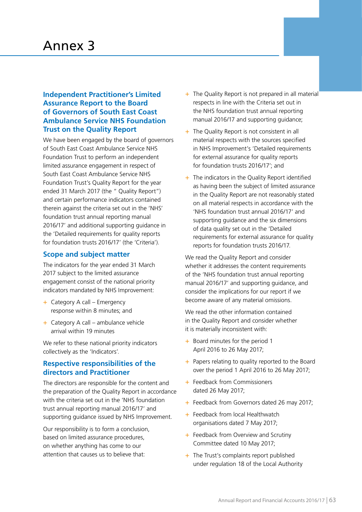# **Independent Practitioner's Limited Assurance Report to the Board of Governors of South East Coast Ambulance Service NHS Foundation Trust on the Quality Report**

We have been engaged by the board of governors of South East Coast Ambulance Service NHS Foundation Trust to perform an independent limited assurance engagement in respect of South East Coast Ambulance Service NHS Foundation Trust's Quality Report for the year ended 31 March 2017 (the " Quality Report") and certain performance indicators contained therein against the criteria set out in the 'NHS' foundation trust annual reporting manual 2016/17' and additional supporting guidance in the 'Detailed requirements for quality reports for foundation trusts 2016/17' (the 'Criteria').

### **Scope and subject matter**

The indicators for the year ended 31 March 2017 subject to the limited assurance engagement consist of the national priority indicators mandated by NHS Improvement:

- + Category A call Emergency response within 8 minutes; and
- + Category A call ambulance vehicle arrival within 19 minutes

We refer to these national priority indicators collectively as the 'Indicators'.

### **Respective responsibilities of the directors and Practitioner**

The directors are responsible for the content and the preparation of the Quality Report in accordance with the criteria set out in the 'NHS foundation trust annual reporting manual 2016/17' and supporting guidance issued by NHS Improvement.

Our responsibility is to form a conclusion, based on limited assurance procedures, on whether anything has come to our attention that causes us to believe that:

- $+$  The Quality Report is not prepared in all material respects in line with the Criteria set out in the NHS foundation trust annual reporting manual 2016/17 and supporting guidance;
- $+$  The Quality Report is not consistent in all material respects with the sources specified in NHS Improvement's 'Detailed requirements for external assurance for quality reports for foundation trusts 2016/17'; and
- $+$  The indicators in the Quality Report identified as having been the subject of limited assurance in the Quality Report are not reasonably stated on all material respects in accordance with the 'NHS foundation trust annual 2016/17' and supporting guidance and the six dimensions of data quality set out in the 'Detailed requirements for external assurance for quality reports for foundation trusts 2016/17.

We read the Quality Report and consider whether it addresses the content requirements of the 'NHS foundation trust annual reporting manual 2016/17' and supporting guidance, and consider the implications for our report if we become aware of any material omissions.

We read the other information contained in the Quality Report and consider whether it is materially inconsistent with:

- + Board minutes for the period 1 April 2016 to 26 May 2017;
- + Papers relating to quality reported to the Board over the period 1 April 2016 to 26 May 2017;
- + Feedback from Commissioners dated 26 May 2017;
- + Feedback from Governors dated 26 may 2017;
- $+$  Feedback from local Healthwatch organisations dated 7 May 2017;
- $+$  Feedback from Overview and Scrutiny Committee dated 10 May 2017;
- + The Trust's complaints report published under regulation 18 of the Local Authority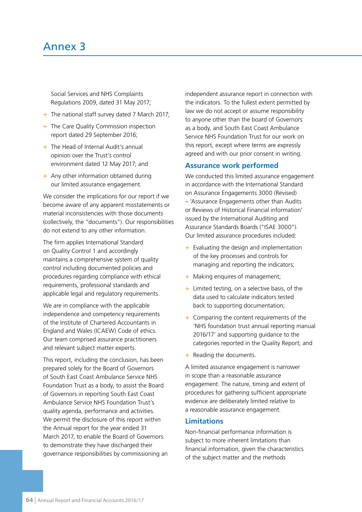Social Services and NHS Complaints Regulations 2009, dated 31 May 2017;

- $+$  The national staff survey dated 7 March 2017;
- + The Care Quality Commission inspection report dated 29 September 2016;
- $+$  The Head of Internal Audit's annual opinion over the Trust's control environment dated 12 May 2017; and
- + Any other information obtained during our limited assurance engagement.

We consider the implications for our report if we become aware of any apparent misstatements or material inconsistencies with those documents (collectively, the "documents"). Our responsibilities do not extend to any other information.

The firm applies International Standard on Quality Control 1 and accordingly maintains a comprehensive system of quality control including documented policies and procedures regarding compliance with ethical requirements, professional standards and applicable legal and regulatory requirements.

We are in compliance with the applicable independence and competency requirements of the Institute of Chartered Accountants in England and Wales (ICAEW) Code of ethics. Our team comprised assurance practitioners and relevant subject matter experts.

This report, including the conclusion, has been prepared solely for the Board of Governors of South East Coast Ambulance Service NHS Foundation Trust as a body, to assist the Board of Governors in reporting South East Coast Ambulance Service NHS Foundation Trust's quality agenda, performance and activities. We permit the disclosure of this report within the Annual report for the year ended 31 March 2017, to enable the Board of Governors to demonstrate they have discharged their governance responsibilities by commissioning an

independent assurance report in connection with the indicators. To the fullest extent permitted by law we do not accept or assume responsibility to anyone other than the board of Governors as a body, and South East Coast Ambulance Service NHS Foundation Trust for our work on this report, except where terms are expressly agreed and with our prior consent in writing.

### **Assurance work performed**

We conducted this limited assurance engagement in accordance with the International Standard on Assurance Engagements 3000 (Revised) – 'Assurance Engagements other than Audits or Reviews of Historical Financial information' issued by the International Auditing and Assurance Standards Boards ("ISAE 3000"). Our limited assurance procedures included:

- $+$  Evaluating the design and implementation of the key processes and controls for managing and reporting the indicators;
- + Making enquires of management;
- $+$  Limited testing, on a selective basis, of the data used to calculate indicators tested back to supporting documentation;
- + Comparing the content requirements of the 'NHS foundation trust annual reporting manual 2016/17' and supporting guidance to the categories reported in the Quality Report; and
- + Reading the documents.

A limited assurance engagement is narrower in scope than a reasonable assurance engagement. The nature, timing and extent of procedures for gathering sufficient appropriate evidence are deliberately limited relative to a reasonable assurance engagement.

### **Limitations**

Non-financial performance information is subject to more inherent limitations than financial information, given the characteristics of the subject matter and the methods